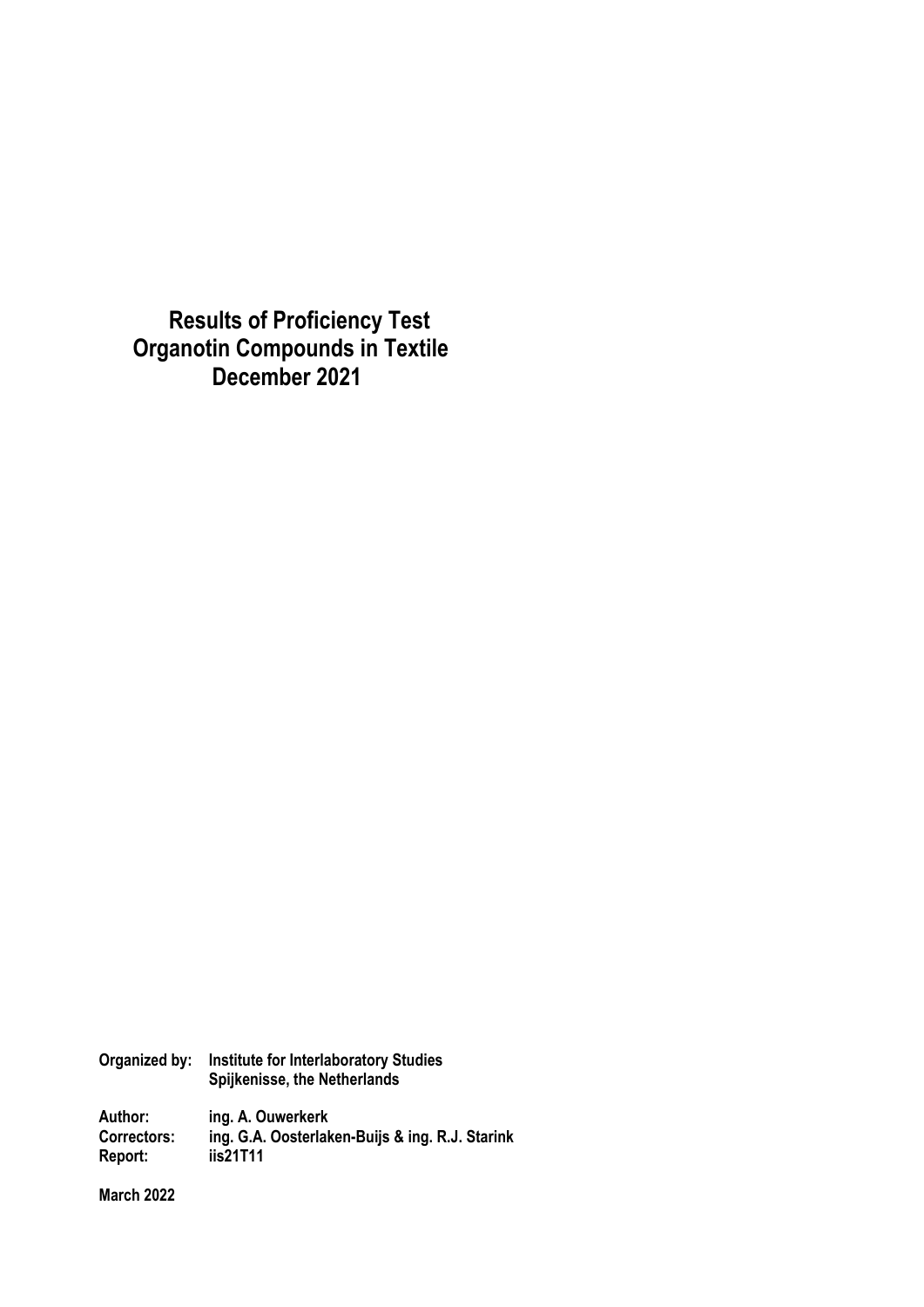**Results of Proficiency Test Organotin Compounds in Textile December 2021**

| Organized by:      | <b>Institute for Interlaboratory Studies</b><br>Spijkenisse, the Netherlands |  |  |
|--------------------|------------------------------------------------------------------------------|--|--|
| Author:            | ing. A. Ouwerkerk                                                            |  |  |
| <b>Correctors:</b> | ing. G.A. Oosterlaken-Buijs & ing. R.J. Starink                              |  |  |
| Report:            | iis21T11                                                                     |  |  |

**March 2022**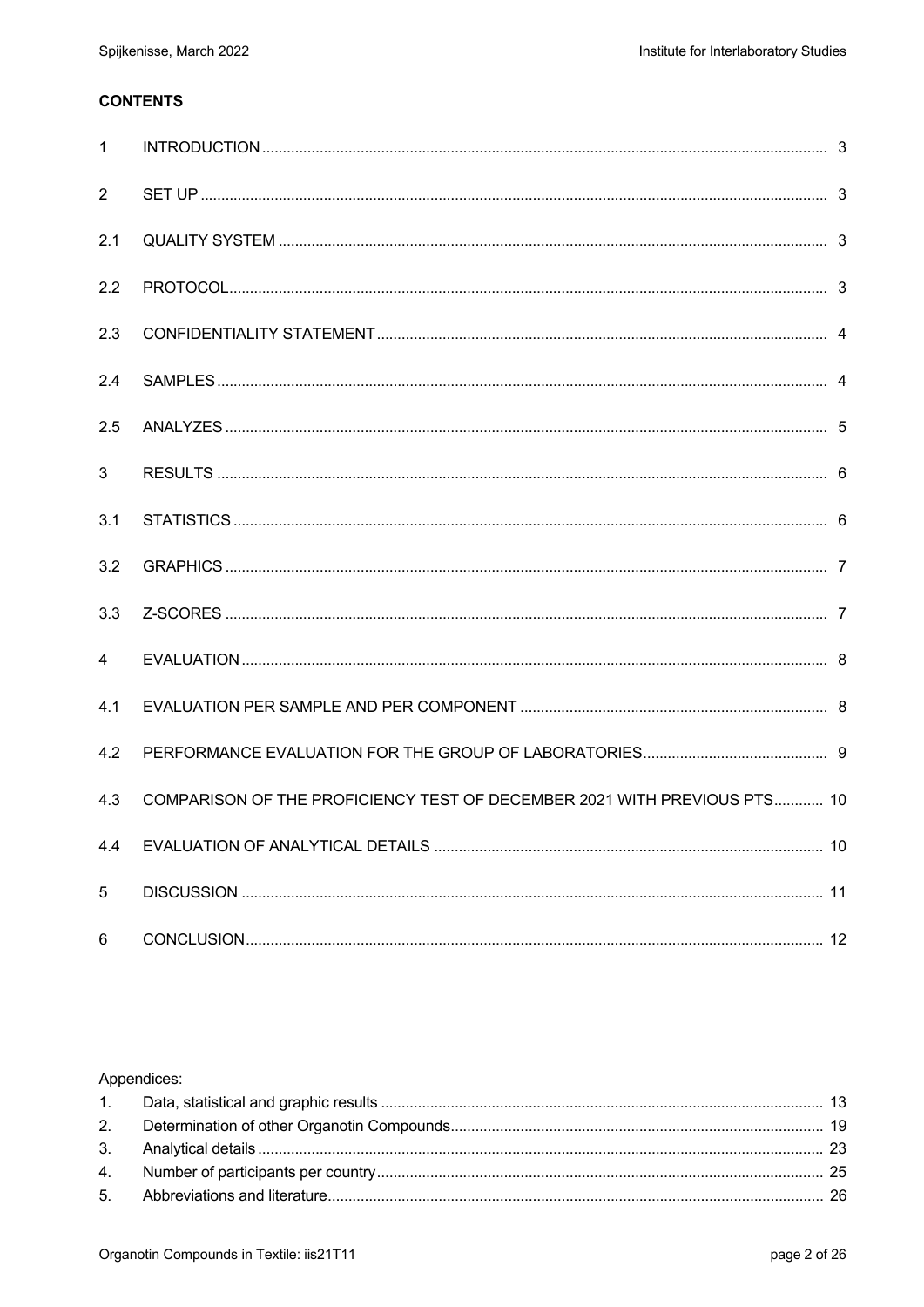# **CONTENTS**

| $\mathbf{1}$   |                                                                          |  |
|----------------|--------------------------------------------------------------------------|--|
| $\overline{2}$ |                                                                          |  |
| 2.1            |                                                                          |  |
| 2.2            |                                                                          |  |
| 2.3            |                                                                          |  |
| 2.4            |                                                                          |  |
| 2.5            |                                                                          |  |
| $\mathbf{3}$   |                                                                          |  |
| 3.1            |                                                                          |  |
| 3.2            |                                                                          |  |
| 3.3            |                                                                          |  |
| 4              |                                                                          |  |
| 4.1            |                                                                          |  |
| 4.2            |                                                                          |  |
| 4.3            | COMPARISON OF THE PROFICIENCY TEST OF DECEMBER 2021 WITH PREVIOUS PTS 10 |  |
| 4.4            |                                                                          |  |
| 5              |                                                                          |  |
| 6              |                                                                          |  |

## Appendices: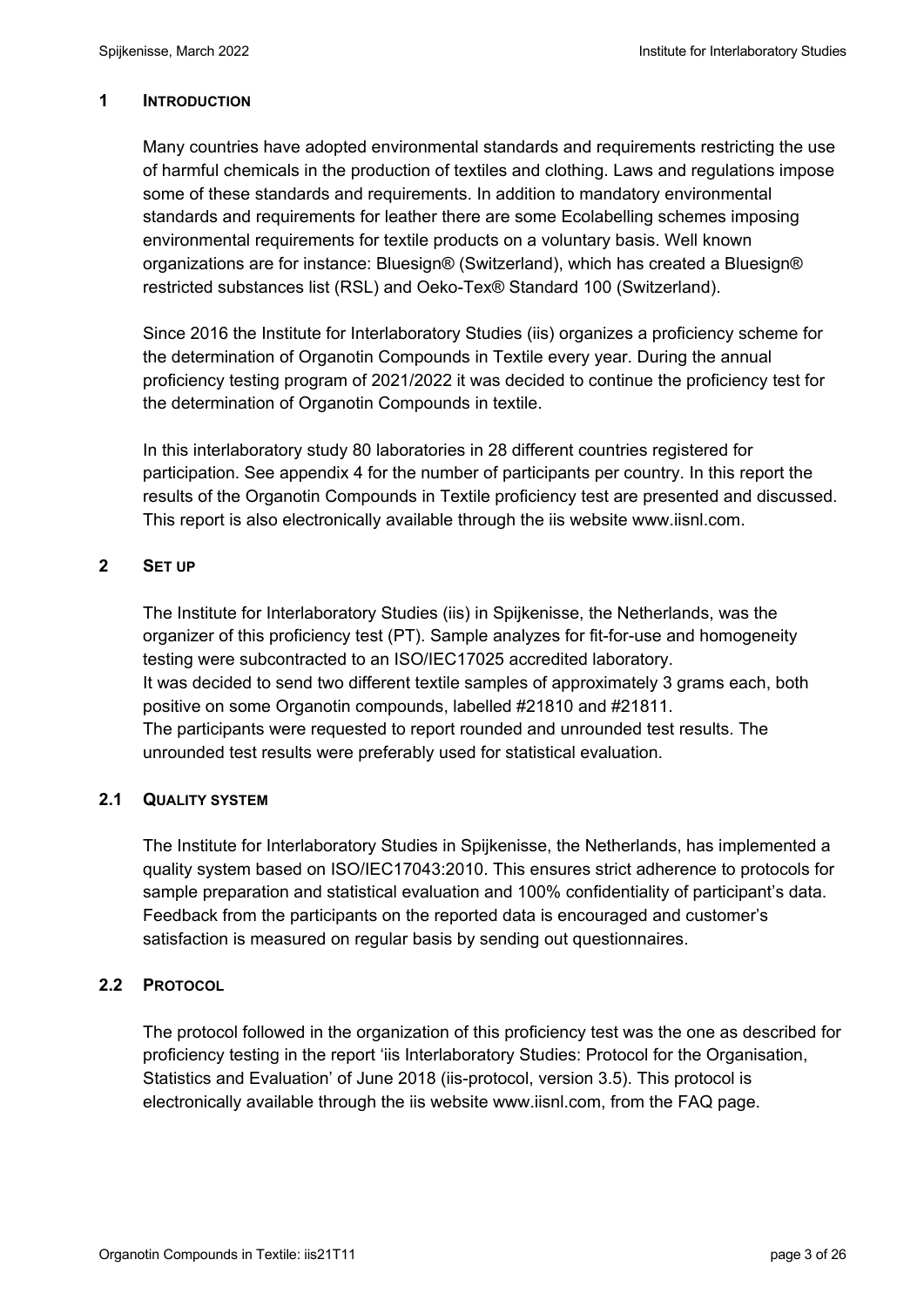### **1 INTRODUCTION**

Many countries have adopted environmental standards and requirements restricting the use of harmful chemicals in the production of textiles and clothing. Laws and regulations impose some of these standards and requirements. In addition to mandatory environmental standards and requirements for leather there are some Ecolabelling schemes imposing environmental requirements for textile products on a voluntary basis. Well known organizations are for instance: Bluesign® (Switzerland), which has created a Bluesign® restricted substances list (RSL) and Oeko-Tex® Standard 100 (Switzerland).

Since 2016 the Institute for Interlaboratory Studies (iis) organizes a proficiency scheme for the determination of Organotin Compounds in Textile every year. During the annual proficiency testing program of 2021/2022 it was decided to continue the proficiency test for the determination of Organotin Compounds in textile.

In this interlaboratory study 80 laboratories in 28 different countries registered for participation. See appendix 4 for the number of participants per country. In this report the results of the Organotin Compounds in Textile proficiency test are presented and discussed. This report is also electronically available through the iis website www.iisnl.com.

## **2 SET UP**

The Institute for Interlaboratory Studies (iis) in Spijkenisse, the Netherlands, was the organizer of this proficiency test (PT). Sample analyzes for fit-for-use and homogeneity testing were subcontracted to an ISO/IEC17025 accredited laboratory. It was decided to send two different textile samples of approximately 3 grams each, both positive on some Organotin compounds, labelled #21810 and #21811. The participants were requested to report rounded and unrounded test results. The unrounded test results were preferably used for statistical evaluation.

## **2.1 QUALITY SYSTEM**

The Institute for Interlaboratory Studies in Spijkenisse, the Netherlands, has implemented a quality system based on ISO/IEC17043:2010. This ensures strict adherence to protocols for sample preparation and statistical evaluation and 100% confidentiality of participant's data. Feedback from the participants on the reported data is encouraged and customer's satisfaction is measured on regular basis by sending out questionnaires.

## **2.2 PROTOCOL**

The protocol followed in the organization of this proficiency test was the one as described for proficiency testing in the report 'iis Interlaboratory Studies: Protocol for the Organisation, Statistics and Evaluation' of June 2018 (iis-protocol, version 3.5). This protocol is electronically available through the iis website www.iisnl.com, from the FAQ page.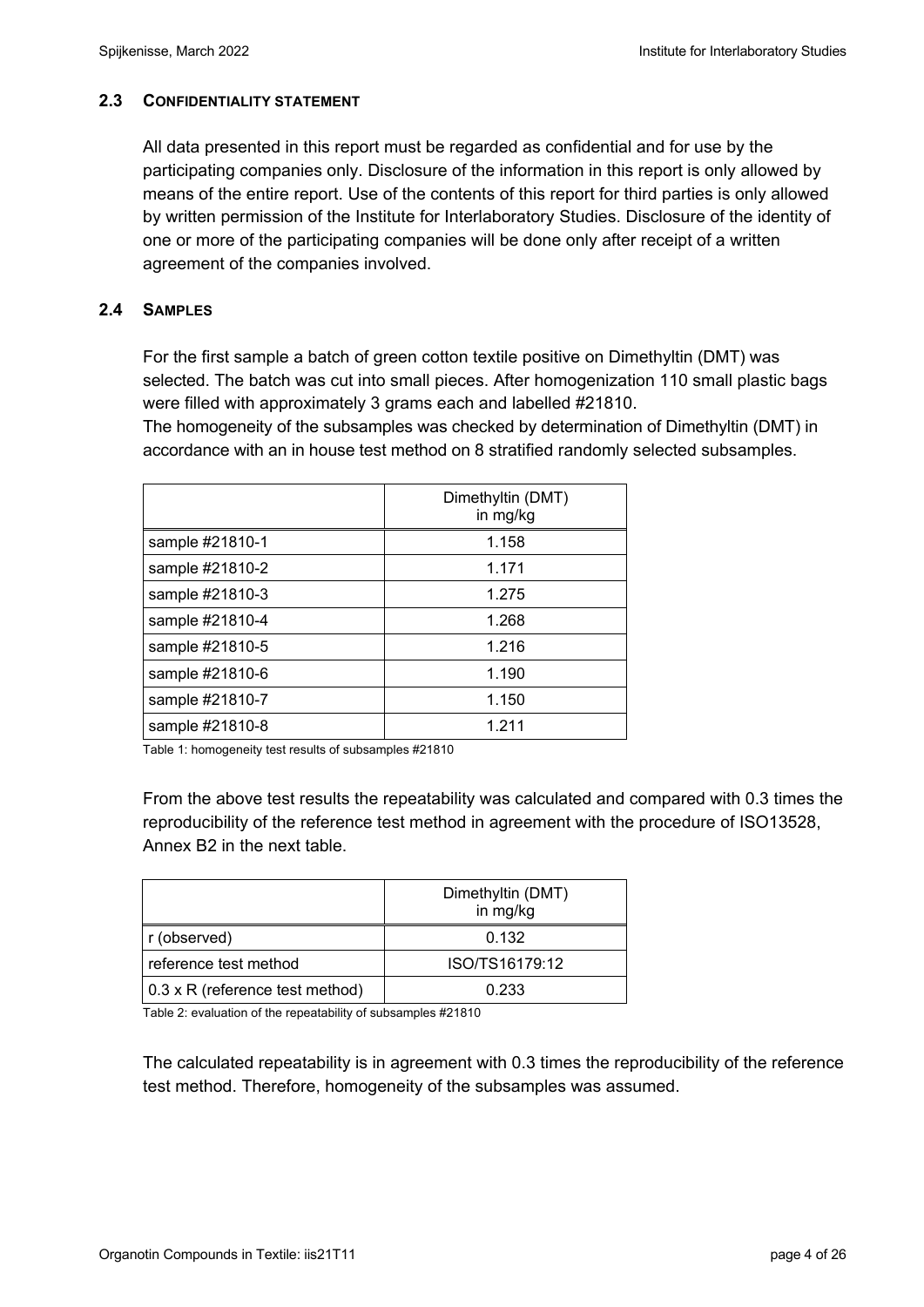## **2.3 CONFIDENTIALITY STATEMENT**

All data presented in this report must be regarded as confidential and for use by the participating companies only. Disclosure of the information in this report is only allowed by means of the entire report. Use of the contents of this report for third parties is only allowed by written permission of the Institute for Interlaboratory Studies. Disclosure of the identity of one or more of the participating companies will be done only after receipt of a written agreement of the companies involved.

## **2.4 SAMPLES**

For the first sample a batch of green cotton textile positive on Dimethyltin (DMT) was selected. The batch was cut into small pieces. After homogenization 110 small plastic bags were filled with approximately 3 grams each and labelled #21810.

The homogeneity of the subsamples was checked by determination of Dimethyltin (DMT) in accordance with an in house test method on 8 stratified randomly selected subsamples.

|                 | Dimethyltin (DMT)<br>in mg/kg |
|-----------------|-------------------------------|
| sample #21810-1 | 1.158                         |
| sample #21810-2 | 1.171                         |
| sample #21810-3 | 1.275                         |
| sample #21810-4 | 1.268                         |
| sample #21810-5 | 1.216                         |
| sample #21810-6 | 1.190                         |
| sample #21810-7 | 1.150                         |
| sample #21810-8 | 1 211                         |

Table 1: homogeneity test results of subsamples #21810

From the above test results the repeatability was calculated and compared with 0.3 times the reproducibility of the reference test method in agreement with the procedure of ISO13528, Annex B2 in the next table.

|                                 | Dimethyltin (DMT)<br>in mg/kg |
|---------------------------------|-------------------------------|
| r (observed)                    | 0.132                         |
| reference test method           | ISO/TS16179:12                |
| 0.3 x R (reference test method) | 0.233                         |

Table 2: evaluation of the repeatability of subsamples #21810

The calculated repeatability is in agreement with 0.3 times the reproducibility of the reference test method. Therefore, homogeneity of the subsamples was assumed.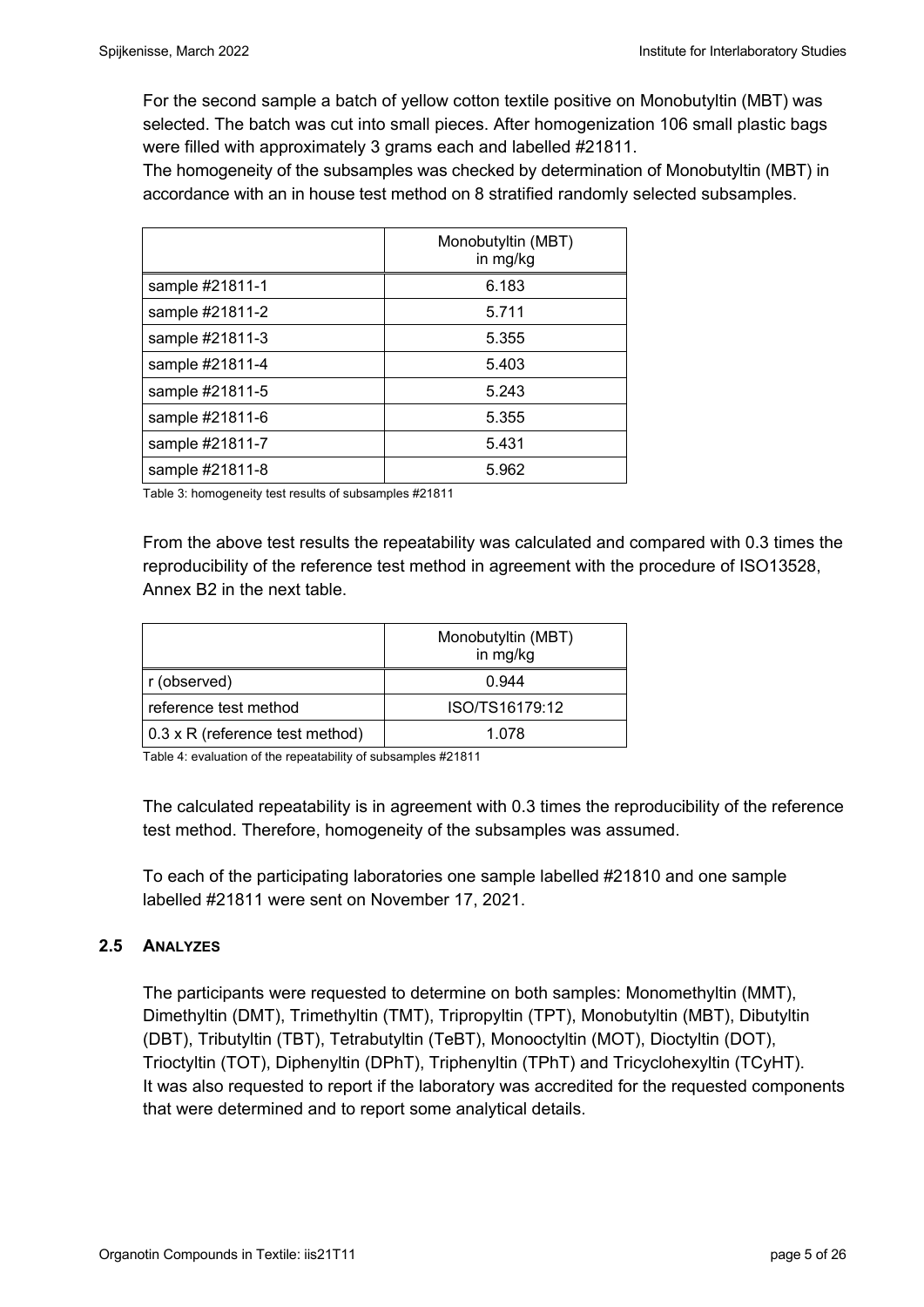For the second sample a batch of yellow cotton textile positive on Monobutyltin (MBT) was selected. The batch was cut into small pieces. After homogenization 106 small plastic bags were filled with approximately 3 grams each and labelled #21811.

The homogeneity of the subsamples was checked by determination of Monobutyltin (MBT) in accordance with an in house test method on 8 stratified randomly selected subsamples.

|                 | Monobutyltin (MBT)<br>in mg/kg |
|-----------------|--------------------------------|
| sample #21811-1 | 6.183                          |
| sample #21811-2 | 5.711                          |
| sample #21811-3 | 5.355                          |
| sample #21811-4 | 5.403                          |
| sample #21811-5 | 5.243                          |
| sample #21811-6 | 5.355                          |
| sample #21811-7 | 5.431                          |
| sample #21811-8 | 5.962                          |

Table 3: homogeneity test results of subsamples #21811

From the above test results the repeatability was calculated and compared with 0.3 times the reproducibility of the reference test method in agreement with the procedure of ISO13528, Annex B2 in the next table.

|                                 | Monobutyltin (MBT)<br>in mg/kg |
|---------------------------------|--------------------------------|
| r (observed)                    | 0.944                          |
| reference test method           | ISO/TS16179:12                 |
| 0.3 x R (reference test method) | 1.078                          |

Table 4: evaluation of the repeatability of subsamples #21811

The calculated repeatability is in agreement with 0.3 times the reproducibility of the reference test method. Therefore, homogeneity of the subsamples was assumed.

To each of the participating laboratories one sample labelled #21810 and one sample labelled #21811 were sent on November 17, 2021.

#### **2.5 ANALYZES**

The participants were requested to determine on both samples: Monomethyltin (MMT), Dimethyltin (DMT), Trimethyltin (TMT), Tripropyltin (TPT), Monobutyltin (MBT), Dibutyltin (DBT), Tributyltin (TBT), Tetrabutyltin (TeBT), Monooctyltin (MOT), Dioctyltin (DOT), Trioctyltin (TOT), Diphenyltin (DPhT), Triphenyltin (TPhT) and Tricyclohexyltin (TCyHT). It was also requested to report if the laboratory was accredited for the requested components that were determined and to report some analytical details.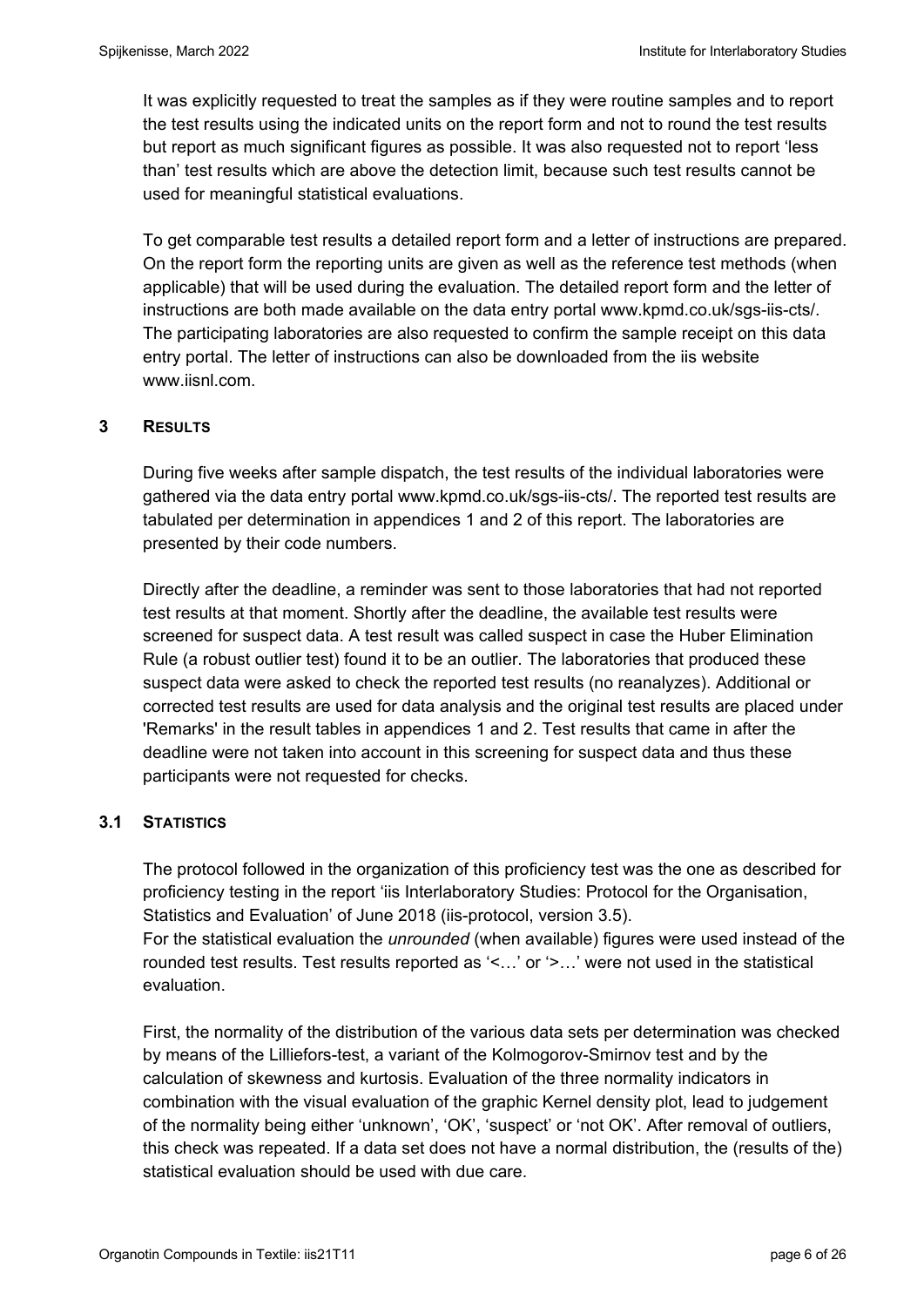It was explicitly requested to treat the samples as if they were routine samples and to report the test results using the indicated units on the report form and not to round the test results but report as much significant figures as possible. It was also requested not to report 'less than' test results which are above the detection limit, because such test results cannot be used for meaningful statistical evaluations.

To get comparable test results a detailed report form and a letter of instructions are prepared. On the report form the reporting units are given as well as the reference test methods (when applicable) that will be used during the evaluation. The detailed report form and the letter of instructions are both made available on the data entry portal www.kpmd.co.uk/sgs-iis-cts/. The participating laboratories are also requested to confirm the sample receipt on this data entry portal. The letter of instructions can also be downloaded from the iis website www.iisnl.com.

## **3 RESULTS**

During five weeks after sample dispatch, the test results of the individual laboratories were gathered via the data entry portal www.kpmd.co.uk/sgs-iis-cts/. The reported test results are tabulated per determination in appendices 1 and 2 of this report. The laboratories are presented by their code numbers.

Directly after the deadline, a reminder was sent to those laboratories that had not reported test results at that moment. Shortly after the deadline, the available test results were screened for suspect data. A test result was called suspect in case the Huber Elimination Rule (a robust outlier test) found it to be an outlier. The laboratories that produced these suspect data were asked to check the reported test results (no reanalyzes). Additional or corrected test results are used for data analysis and the original test results are placed under 'Remarks' in the result tables in appendices 1 and 2. Test results that came in after the deadline were not taken into account in this screening for suspect data and thus these participants were not requested for checks.

## **3.1 STATISTICS**

The protocol followed in the organization of this proficiency test was the one as described for proficiency testing in the report 'iis Interlaboratory Studies: Protocol for the Organisation, Statistics and Evaluation' of June 2018 (iis-protocol, version 3.5). For the statistical evaluation the *unrounded* (when available) figures were used instead of the

rounded test results. Test results reported as '<…' or '>…' were not used in the statistical evaluation.

First, the normality of the distribution of the various data sets per determination was checked by means of the Lilliefors-test, a variant of the Kolmogorov-Smirnov test and by the calculation of skewness and kurtosis. Evaluation of the three normality indicators in combination with the visual evaluation of the graphic Kernel density plot, lead to judgement of the normality being either 'unknown', 'OK', 'suspect' or 'not OK'. After removal of outliers, this check was repeated. If a data set does not have a normal distribution, the (results of the) statistical evaluation should be used with due care.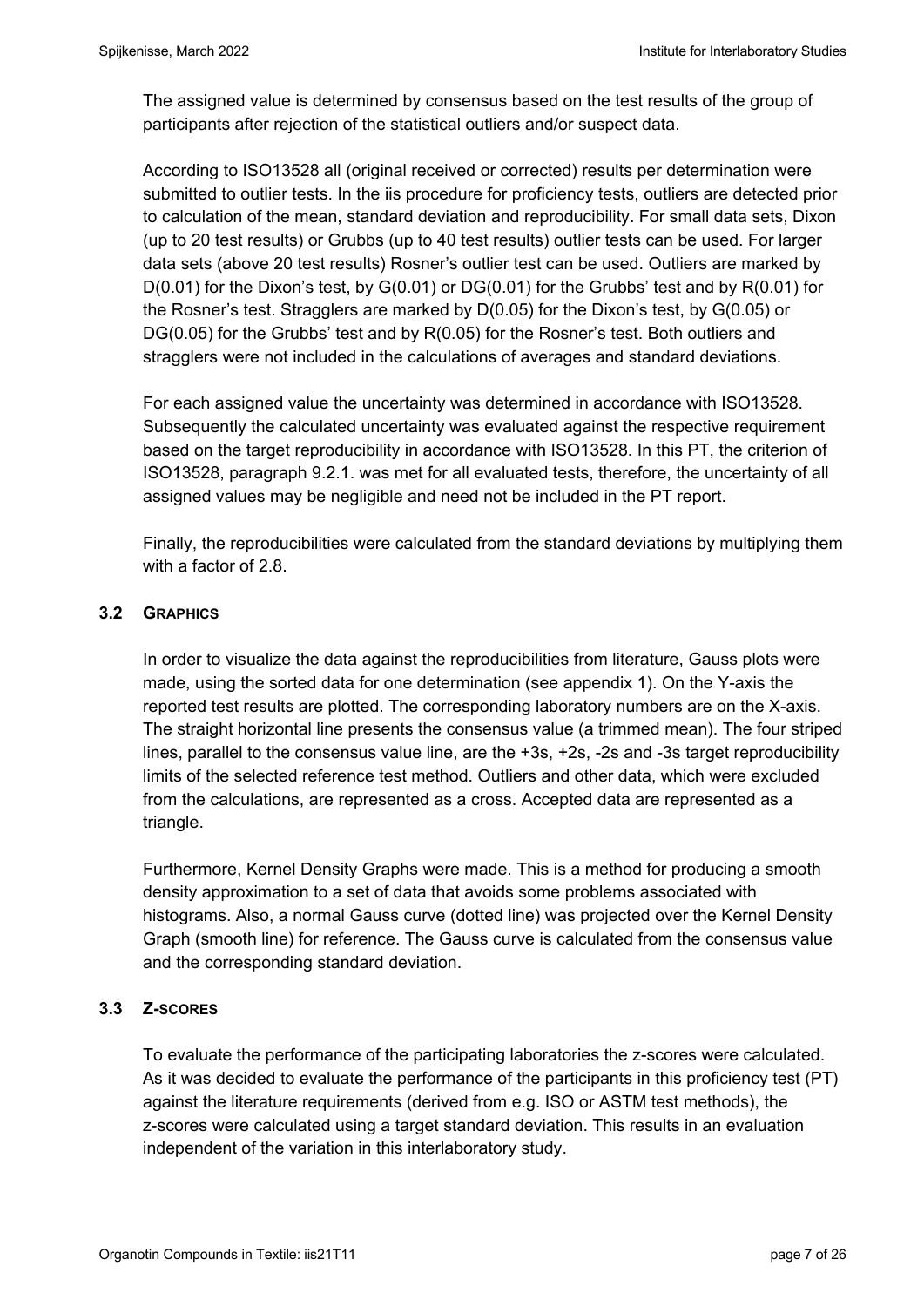The assigned value is determined by consensus based on the test results of the group of participants after rejection of the statistical outliers and/or suspect data.

According to ISO13528 all (original received or corrected) results per determination were submitted to outlier tests. In the iis procedure for proficiency tests, outliers are detected prior to calculation of the mean, standard deviation and reproducibility. For small data sets, Dixon (up to 20 test results) or Grubbs (up to 40 test results) outlier tests can be used. For larger data sets (above 20 test results) Rosner's outlier test can be used. Outliers are marked by  $D(0.01)$  for the Dixon's test, by  $G(0.01)$  or  $DG(0.01)$  for the Grubbs' test and by  $R(0.01)$  for the Rosner's test. Stragglers are marked by D(0.05) for the Dixon's test, by G(0.05) or DG(0.05) for the Grubbs' test and by R(0.05) for the Rosner's test. Both outliers and stragglers were not included in the calculations of averages and standard deviations.

For each assigned value the uncertainty was determined in accordance with ISO13528. Subsequently the calculated uncertainty was evaluated against the respective requirement based on the target reproducibility in accordance with ISO13528. In this PT, the criterion of ISO13528, paragraph 9.2.1. was met for all evaluated tests, therefore, the uncertainty of all assigned values may be negligible and need not be included in the PT report.

Finally, the reproducibilities were calculated from the standard deviations by multiplying them with a factor of 2.8.

# **3.2 GRAPHICS**

In order to visualize the data against the reproducibilities from literature, Gauss plots were made, using the sorted data for one determination (see appendix 1). On the Y-axis the reported test results are plotted. The corresponding laboratory numbers are on the X-axis. The straight horizontal line presents the consensus value (a trimmed mean). The four striped lines, parallel to the consensus value line, are the +3s, +2s, -2s and -3s target reproducibility limits of the selected reference test method. Outliers and other data, which were excluded from the calculations, are represented as a cross. Accepted data are represented as a triangle.

Furthermore, Kernel Density Graphs were made. This is a method for producing a smooth density approximation to a set of data that avoids some problems associated with histograms. Also, a normal Gauss curve (dotted line) was projected over the Kernel Density Graph (smooth line) for reference. The Gauss curve is calculated from the consensus value and the corresponding standard deviation.

## **3.3 Z-SCORES**

To evaluate the performance of the participating laboratories the z-scores were calculated. As it was decided to evaluate the performance of the participants in this proficiency test (PT) against the literature requirements (derived from e.g. ISO or ASTM test methods), the z-scores were calculated using a target standard deviation. This results in an evaluation independent of the variation in this interlaboratory study.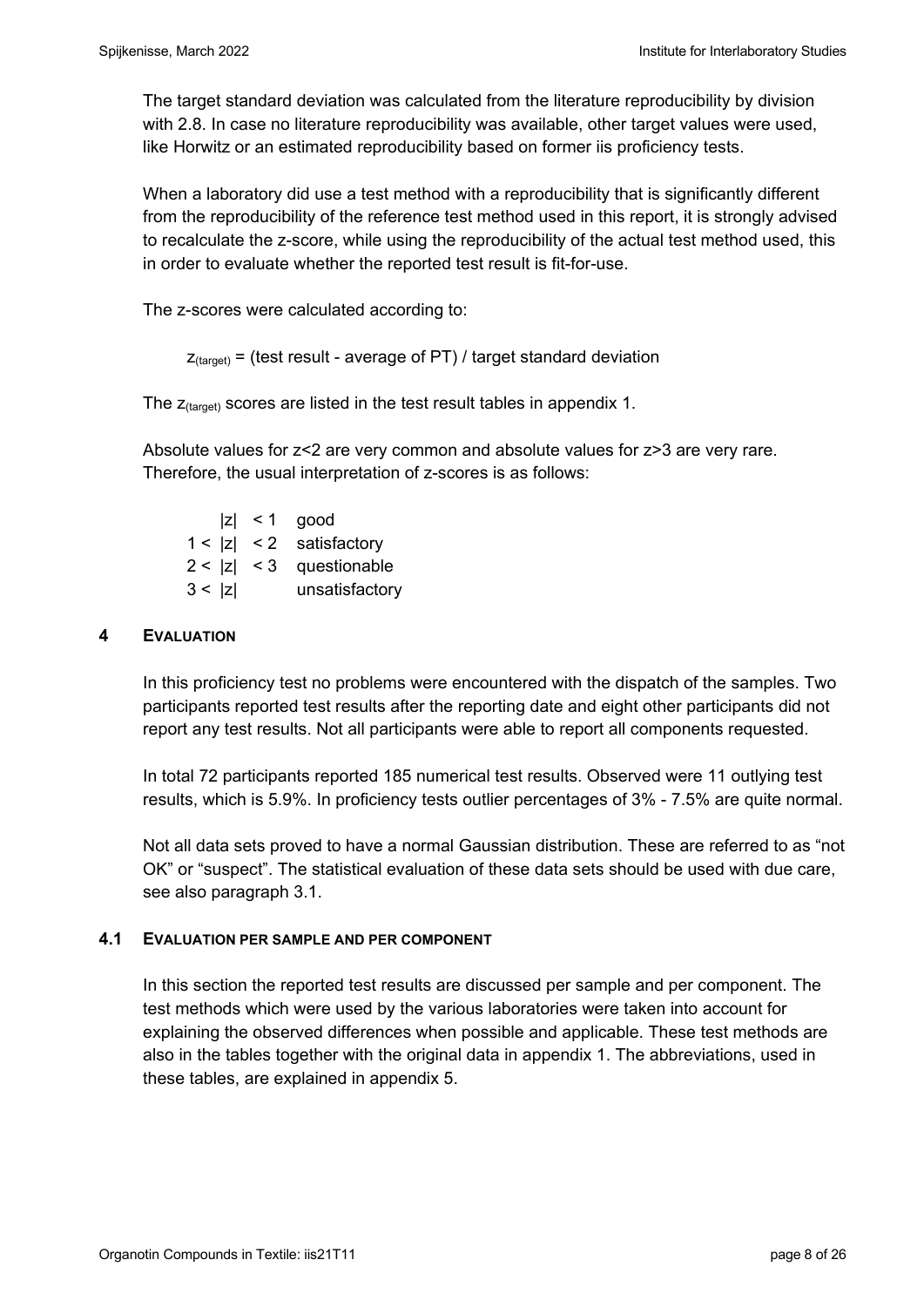The target standard deviation was calculated from the literature reproducibility by division with 2.8. In case no literature reproducibility was available, other target values were used, like Horwitz or an estimated reproducibility based on former iis proficiency tests.

When a laboratory did use a test method with a reproducibility that is significantly different from the reproducibility of the reference test method used in this report, it is strongly advised to recalculate the z-score, while using the reproducibility of the actual test method used, this in order to evaluate whether the reported test result is fit-for-use.

The z-scores were calculated according to:

```
Z_{\text{target}} = (test result - average of PT) / target standard deviation
```
The  $z_{\text{(target)}}$  scores are listed in the test result tables in appendix 1.

Absolute values for z<2 are very common and absolute values for z>3 are very rare. Therefore, the usual interpretation of z-scores is as follows:

 $|z|$  < 1 good  $1 < |z| < 2$  satisfactory  $2 < |z| < 3$  questionable 3 < |z| unsatisfactory

## **4 EVALUATION**

In this proficiency test no problems were encountered with the dispatch of the samples. Two participants reported test results after the reporting date and eight other participants did not report any test results. Not all participants were able to report all components requested.

In total 72 participants reported 185 numerical test results. Observed were 11 outlying test results, which is 5.9%. In proficiency tests outlier percentages of 3% - 7.5% are quite normal.

Not all data sets proved to have a normal Gaussian distribution. These are referred to as "not OK" or "suspect". The statistical evaluation of these data sets should be used with due care, see also paragraph 3.1.

#### **4.1 EVALUATION PER SAMPLE AND PER COMPONENT**

In this section the reported test results are discussed per sample and per component. The test methods which were used by the various laboratories were taken into account for explaining the observed differences when possible and applicable. These test methods are also in the tables together with the original data in appendix 1. The abbreviations, used in these tables, are explained in appendix 5.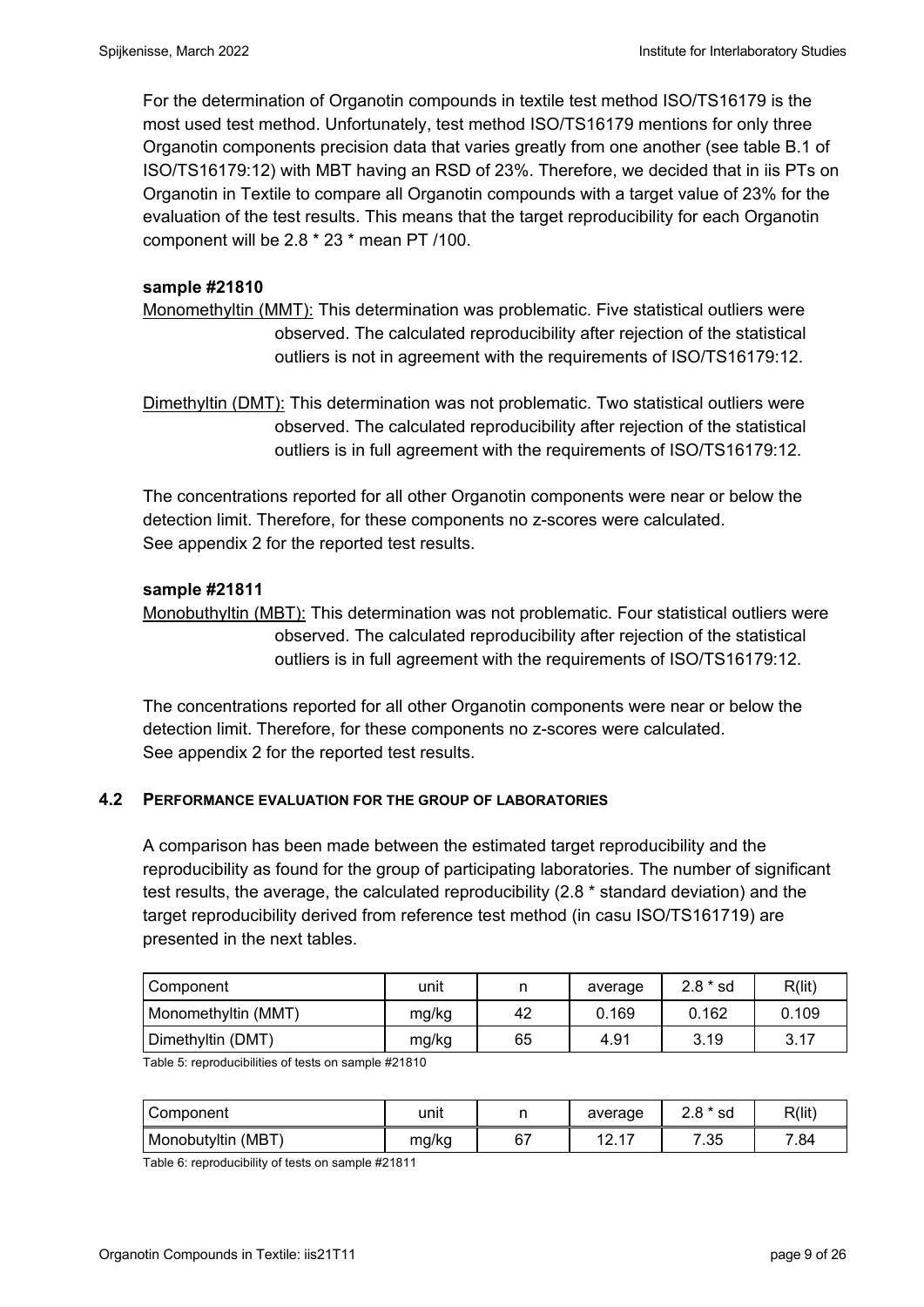For the determination of Organotin compounds in textile test method ISO/TS16179 is the most used test method. Unfortunately, test method ISO/TS16179 mentions for only three Organotin components precision data that varies greatly from one another (see table B.1 of ISO/TS16179:12) with MBT having an RSD of 23%. Therefore, we decided that in iis PTs on Organotin in Textile to compare all Organotin compounds with a target value of 23% for the evaluation of the test results. This means that the target reproducibility for each Organotin component will be 2.8 \* 23 \* mean PT /100.

#### **sample #21810**

Monomethyltin (MMT): This determination was problematic. Five statistical outliers were observed. The calculated reproducibility after rejection of the statistical outliers is not in agreement with the requirements of ISO/TS16179:12.

Dimethyltin (DMT): This determination was not problematic. Two statistical outliers were observed. The calculated reproducibility after rejection of the statistical outliers is in full agreement with the requirements of ISO/TS16179:12.

The concentrations reported for all other Organotin components were near or below the detection limit. Therefore, for these components no z-scores were calculated. See appendix 2 for the reported test results.

## **sample #21811**

Monobuthyltin (MBT): This determination was not problematic. Four statistical outliers were observed. The calculated reproducibility after rejection of the statistical outliers is in full agreement with the requirements of ISO/TS16179:12.

The concentrations reported for all other Organotin components were near or below the detection limit. Therefore, for these components no z-scores were calculated. See appendix 2 for the reported test results.

## **4.2 PERFORMANCE EVALUATION FOR THE GROUP OF LABORATORIES**

A comparison has been made between the estimated target reproducibility and the reproducibility as found for the group of participating laboratories. The number of significant test results, the average, the calculated reproducibility (2.8 \* standard deviation) and the target reproducibility derived from reference test method (in casu ISO/TS161719) are presented in the next tables.

| Component           | unit  |    | average | $2.8 * sd$ | R(lit) |
|---------------------|-------|----|---------|------------|--------|
| Monomethyltin (MMT) | mg/kg | 42 | 0.169   | 0.162      | 0.109  |
| Dimethyltin (DMT)   | mg/kg | 65 | 4.91    | 3.19       | 3.17   |

Table 5: reproducibilities of tests on sample #21810

| Component          | unit  |    | average           | $2.8 * sd$  | R(lit |
|--------------------|-------|----|-------------------|-------------|-------|
| Monobutyltin (MBT) | mg/kg | 67 | $4 -$<br>10.<br>. | フっち<br>. ن. | 7.84  |

Table 6: reproducibility of tests on sample #21811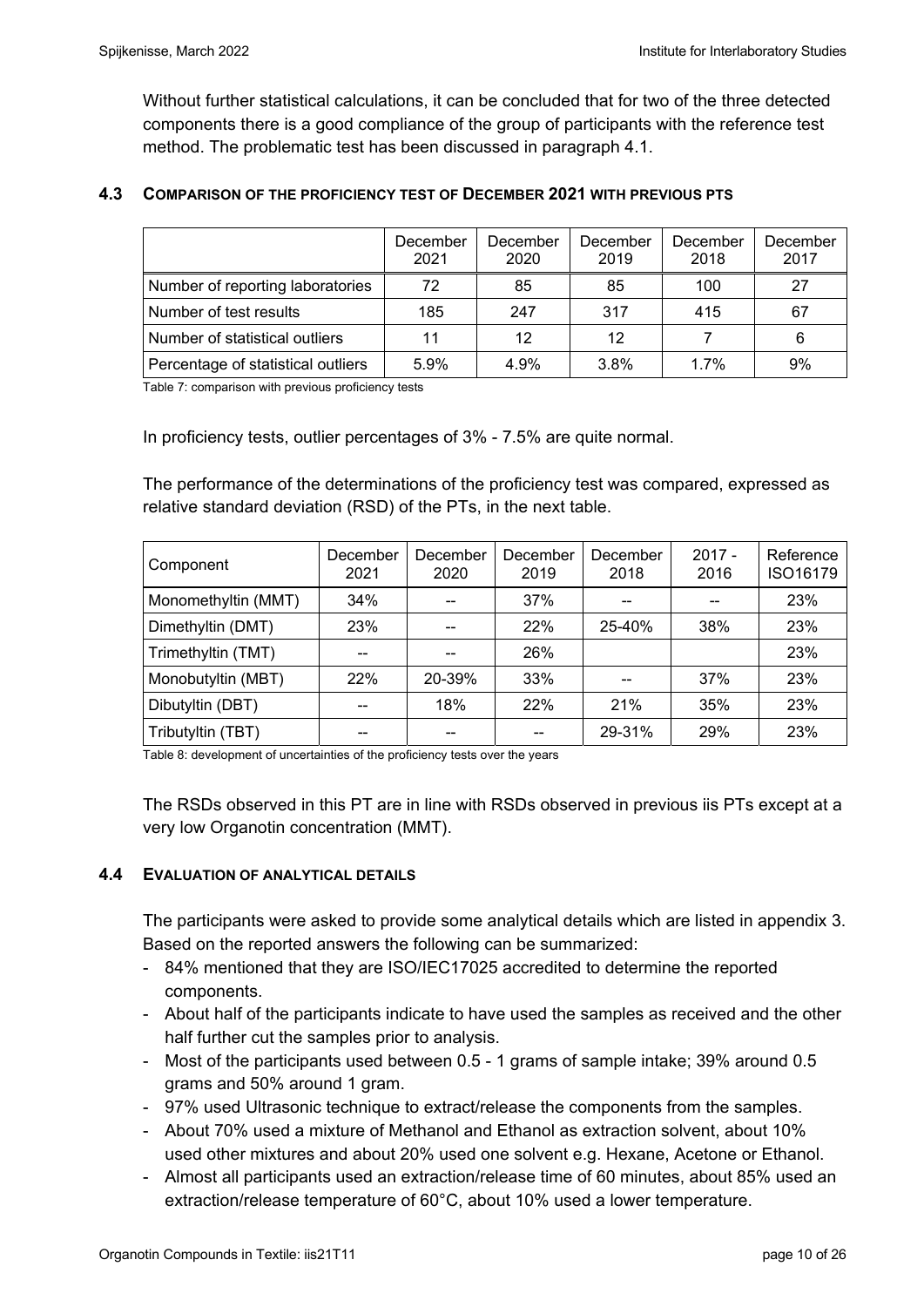Without further statistical calculations, it can be concluded that for two of the three detected components there is a good compliance of the group of participants with the reference test method. The problematic test has been discussed in paragraph 4.1.

## **4.3 COMPARISON OF THE PROFICIENCY TEST OF DECEMBER 2021 WITH PREVIOUS PTS**

|                                    | December<br>2021 | December<br>2020 | December<br>2019 | December<br>2018 | December<br>2017 |
|------------------------------------|------------------|------------------|------------------|------------------|------------------|
| Number of reporting laboratories   | 72               | 85               | 85               | 100              | 27               |
| Number of test results             | 185              | 247              | 317              | 415              | 67               |
| Number of statistical outliers     | 11               | 12               | 12               |                  | 6                |
| Percentage of statistical outliers | 5.9%             | 4.9%             | 3.8%             | 1.7%             | 9%               |

Table 7: comparison with previous proficiency tests

In proficiency tests, outlier percentages of 3% - 7.5% are quite normal.

The performance of the determinations of the proficiency test was compared, expressed as relative standard deviation (RSD) of the PTs, in the next table.

| Component           | December<br>2021 | December<br>2020 | December<br>2019 | December<br>2018 | $2017 -$<br>2016 | Reference<br>ISO16179 |
|---------------------|------------------|------------------|------------------|------------------|------------------|-----------------------|
| Monomethyltin (MMT) | 34%              |                  | 37%              |                  |                  | 23%                   |
| Dimethyltin (DMT)   | 23%              | --               | 22%              | 25-40%           | 38%              | 23%                   |
| Trimethyltin (TMT)  |                  | $-$              | 26%              |                  |                  | 23%                   |
| Monobutyltin (MBT)  | 22%              | 20-39%           | 33%              |                  | 37%              | 23%                   |
| Dibutyltin (DBT)    |                  | 18%              | 22%              | 21%              | 35%              | 23%                   |
| Tributyltin (TBT)   | --               | --               |                  | 29-31%           | 29%              | 23%                   |

Table 8: development of uncertainties of the proficiency tests over the years

The RSDs observed in this PT are in line with RSDs observed in previous iis PTs except at a very low Organotin concentration (MMT).

#### **4.4 EVALUATION OF ANALYTICAL DETAILS**

The participants were asked to provide some analytical details which are listed in appendix 3. Based on the reported answers the following can be summarized:

- 84% mentioned that they are ISO/IEC17025 accredited to determine the reported components.
- About half of the participants indicate to have used the samples as received and the other half further cut the samples prior to analysis.
- Most of the participants used between 0.5 1 grams of sample intake; 39% around 0.5 grams and 50% around 1 gram.
- 97% used Ultrasonic technique to extract/release the components from the samples.
- About 70% used a mixture of Methanol and Ethanol as extraction solvent, about 10% used other mixtures and about 20% used one solvent e.g. Hexane, Acetone or Ethanol.
- Almost all participants used an extraction/release time of 60 minutes, about 85% used an extraction/release temperature of 60°C, about 10% used a lower temperature.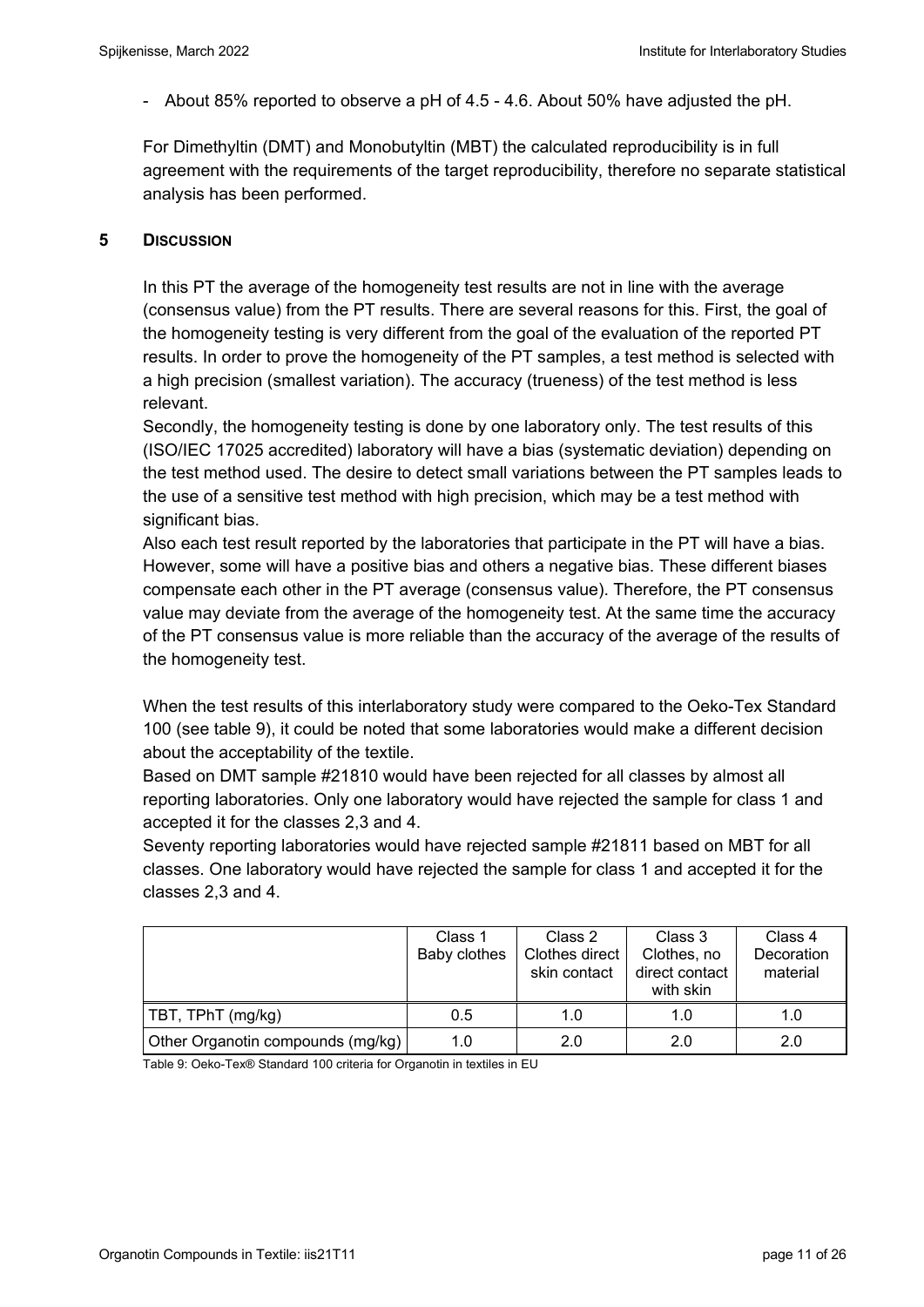- About 85% reported to observe a pH of 4.5 - 4.6. About 50% have adjusted the pH.

For Dimethyltin (DMT) and Monobutyltin (MBT) the calculated reproducibility is in full agreement with the requirements of the target reproducibility, therefore no separate statistical analysis has been performed.

### **5 DISCUSSION**

In this PT the average of the homogeneity test results are not in line with the average (consensus value) from the PT results. There are several reasons for this. First, the goal of the homogeneity testing is very different from the goal of the evaluation of the reported PT results. In order to prove the homogeneity of the PT samples, a test method is selected with a high precision (smallest variation). The accuracy (trueness) of the test method is less relevant.

Secondly, the homogeneity testing is done by one laboratory only. The test results of this (ISO/IEC 17025 accredited) laboratory will have a bias (systematic deviation) depending on the test method used. The desire to detect small variations between the PT samples leads to the use of a sensitive test method with high precision, which may be a test method with significant bias.

Also each test result reported by the laboratories that participate in the PT will have a bias. However, some will have a positive bias and others a negative bias. These different biases compensate each other in the PT average (consensus value). Therefore, the PT consensus value may deviate from the average of the homogeneity test. At the same time the accuracy of the PT consensus value is more reliable than the accuracy of the average of the results of the homogeneity test.

When the test results of this interlaboratory study were compared to the Oeko-Tex Standard 100 (see table 9), it could be noted that some laboratories would make a different decision about the acceptability of the textile.

Based on DMT sample #21810 would have been rejected for all classes by almost all reporting laboratories. Only one laboratory would have rejected the sample for class 1 and accepted it for the classes 2,3 and 4.

Seventy reporting laboratories would have rejected sample #21811 based on MBT for all classes. One laboratory would have rejected the sample for class 1 and accepted it for the classes 2,3 and 4.

|                                   | Class 1<br>Baby clothes | Class 2<br>Clothes direct<br>skin contact | Class 3<br>Clothes, no<br>direct contact<br>with skin | Class 4<br>Decoration<br>material |
|-----------------------------------|-------------------------|-------------------------------------------|-------------------------------------------------------|-----------------------------------|
| TBT, TPhT (mg/kg)                 | 0.5                     | 1.0                                       | 1.0                                                   | 1.0                               |
| Other Organotin compounds (mg/kg) | 1.0                     | 2.0                                       | 2.0                                                   | 2.0                               |

Table 9: Oeko-Tex® Standard 100 criteria for Organotin in textiles in EU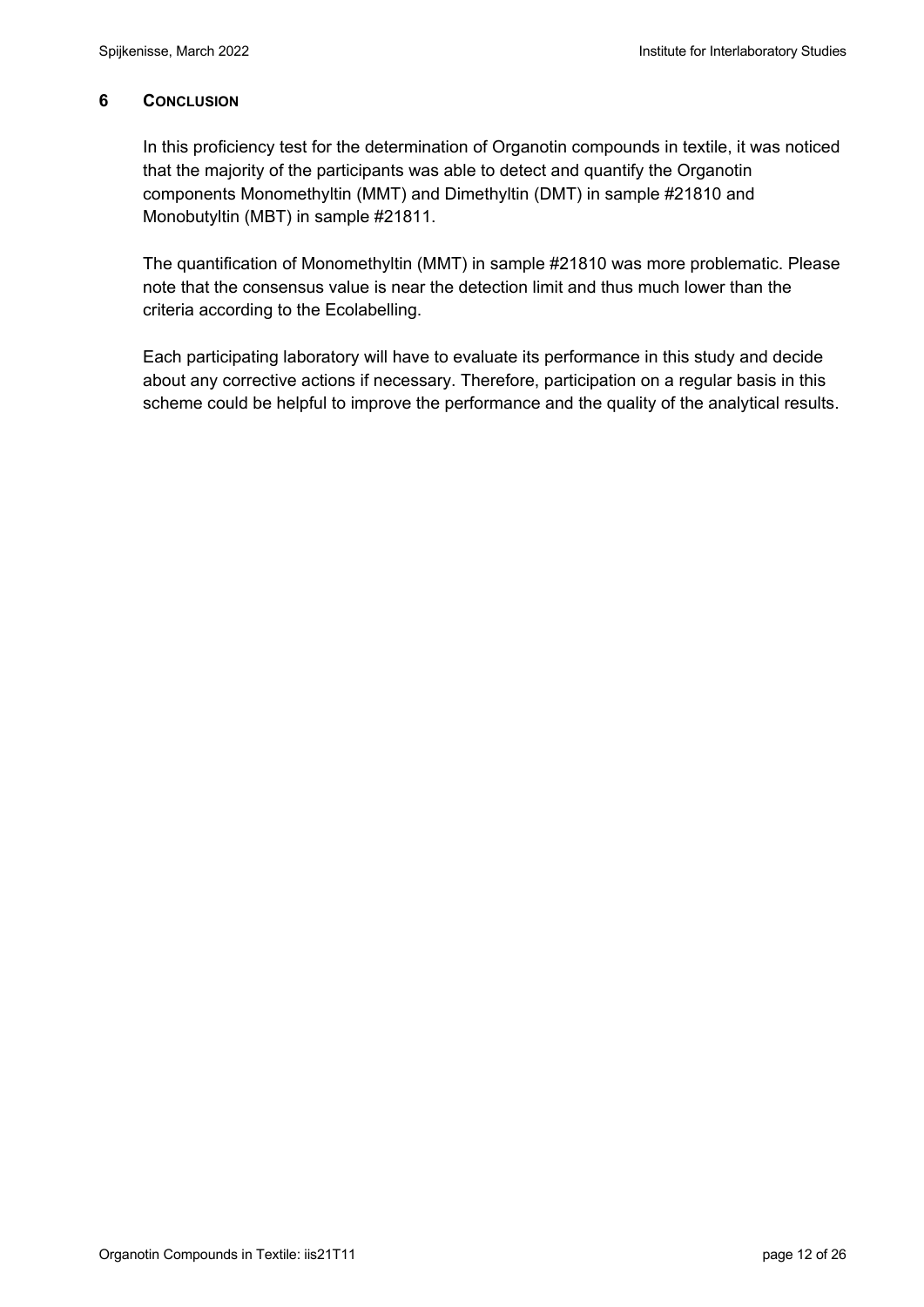### **6 CONCLUSION**

In this proficiency test for the determination of Organotin compounds in textile, it was noticed that the majority of the participants was able to detect and quantify the Organotin components Monomethyltin (MMT) and Dimethyltin (DMT) in sample #21810 and Monobutyltin (MBT) in sample #21811.

The quantification of Monomethyltin (MMT) in sample #21810 was more problematic. Please note that the consensus value is near the detection limit and thus much lower than the criteria according to the Ecolabelling.

Each participating laboratory will have to evaluate its performance in this study and decide about any corrective actions if necessary. Therefore, participation on a regular basis in this scheme could be helpful to improve the performance and the quality of the analytical results.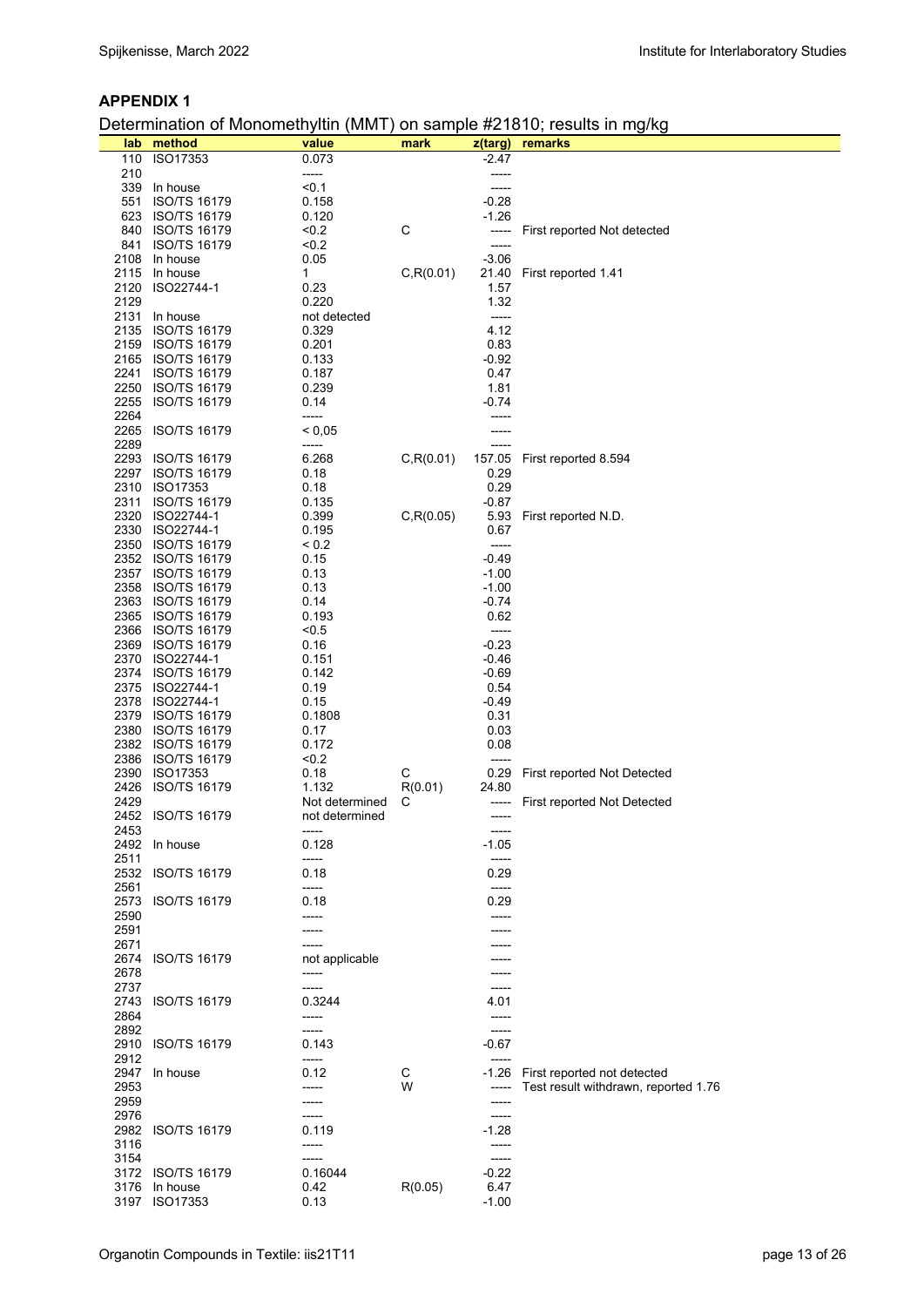#### **APPENDIX 1**

## Determination of Monomethyltin (MMT) on sample #21810; results in mg/kg

|      | lab method          | value          | mark       |         | z(targ) remarks                      |
|------|---------------------|----------------|------------|---------|--------------------------------------|
|      | 110 ISO17353        | 0.073          |            | -2.47   |                                      |
| 210  |                     | -----          |            | -----   |                                      |
|      | 339 In house        | < 0.1          |            |         |                                      |
|      |                     |                |            |         |                                      |
|      | 551 ISO/TS 16179    | 0.158          |            | $-0.28$ |                                      |
|      | 623 ISO/TS 16179    | 0.120          |            | $-1.26$ |                                      |
|      | 840 ISO/TS 16179    | < 0.2          | С          | -----   | First reported Not detected          |
|      | 841 ISO/TS 16179    | 50.2           |            | -----   |                                      |
|      |                     |                |            |         |                                      |
|      | 2108 In house       | 0.05           |            | $-3.06$ |                                      |
|      | 2115 In house       | 1              | C, R(0.01) |         | 21.40 First reported 1.41            |
|      | 2120 ISO22744-1     | 0.23           |            | 1.57    |                                      |
| 2129 |                     | 0.220          |            | 1.32    |                                      |
|      |                     |                |            |         |                                      |
|      | 2131 In house       | not detected   |            | -----   |                                      |
|      | 2135 ISO/TS 16179   | 0.329          |            | 4.12    |                                      |
|      | 2159 ISO/TS 16179   | 0.201          |            | 0.83    |                                      |
|      | 2165 ISO/TS 16179   | 0.133          |            | $-0.92$ |                                      |
|      |                     | 0.187          |            |         |                                      |
|      | 2241 ISO/TS 16179   |                |            | 0.47    |                                      |
|      | 2250 ISO/TS 16179   | 0.239          |            | 1.81    |                                      |
|      | 2255 ISO/TS 16179   | 0.14           |            | -0.74   |                                      |
| 2264 |                     | -----          |            |         |                                      |
|      |                     |                |            |         |                                      |
|      | 2265 ISO/TS 16179   | < 0.05         |            |         |                                      |
| 2289 |                     | -----          |            |         |                                      |
|      | 2293 ISO/TS 16179   | 6.268          | C, R(0.01) | 157.05  | First reported 8.594                 |
|      | 2297 ISO/TS 16179   | 0.18           |            | 0.29    |                                      |
|      |                     |                |            |         |                                      |
|      | 2310 ISO17353       | 0.18           |            | 0.29    |                                      |
|      | 2311 ISO/TS 16179   | 0.135          |            | -0.87   |                                      |
|      | 2320 ISO22744-1     | 0.399          | C, R(0.05) | 5.93    | First reported N.D.                  |
|      | 2330 ISO22744-1     | 0.195          |            | 0.67    |                                      |
|      |                     |                |            |         |                                      |
|      | 2350 ISO/TS 16179   | ${}_{0.2}$     |            | -----   |                                      |
|      | 2352 ISO/TS 16179   | 0.15           |            | $-0.49$ |                                      |
|      | 2357 ISO/TS 16179   | 0.13           |            | $-1.00$ |                                      |
|      | 2358 ISO/TS 16179   | 0.13           |            | $-1.00$ |                                      |
|      |                     |                |            |         |                                      |
|      | 2363 ISO/TS 16179   | 0.14           |            | $-0.74$ |                                      |
|      | 2365 ISO/TS 16179   | 0.193          |            | 0.62    |                                      |
|      | 2366 ISO/TS 16179   | $5 - 5$        |            | -----   |                                      |
|      | 2369 ISO/TS 16179   | 0.16           |            | $-0.23$ |                                      |
|      | 2370 ISO22744-1     | 0.151          |            | $-0.46$ |                                      |
|      |                     |                |            |         |                                      |
|      | 2374 ISO/TS 16179   | 0.142          |            | $-0.69$ |                                      |
|      | 2375 ISO22744-1     | 0.19           |            | 0.54    |                                      |
|      | 2378 ISO22744-1     | 0.15           |            | -0.49   |                                      |
|      | 2379 ISO/TS 16179   | 0.1808         |            | 0.31    |                                      |
|      |                     |                |            |         |                                      |
|      | 2380 ISO/TS 16179   | 0.17           |            | 0.03    |                                      |
|      | 2382 ISO/TS 16179   | 0.172          |            | 0.08    |                                      |
|      | 2386 ISO/TS 16179   | 50.2           |            | -----   |                                      |
|      | 2390 ISO17353       | 0.18           | С          | 0.29    | First reported Not Detected          |
| 2426 |                     | 1.132          | R(0.01)    | 24.80   |                                      |
|      | <b>ISO/TS 16179</b> |                |            |         |                                      |
| 2429 |                     | Not determined | С          |         | ----- First reported Not Detected    |
|      | 2452 ISO/TS 16179   | not determined |            | -----   |                                      |
| 2453 |                     | -----          |            | -----   |                                      |
|      | 2492 In house       | 0.128          |            | -1.05   |                                      |
|      |                     |                |            |         |                                      |
| 2511 |                     | -----          |            |         |                                      |
|      | 2532 ISO/TS 16179   | 0.18           |            | 0.29    |                                      |
| 2561 |                     | -----          |            | -----   |                                      |
| 2573 | <b>ISO/TS 16179</b> | 0.18           |            | 0.29    |                                      |
| 2590 |                     | -----          |            |         |                                      |
| 2591 |                     |                |            |         |                                      |
|      |                     | -----          |            |         |                                      |
| 2671 |                     |                |            |         |                                      |
| 2674 | ISO/TS 16179        | not applicable |            |         |                                      |
| 2678 |                     | -----          |            |         |                                      |
| 2737 |                     | -----          |            |         |                                      |
|      |                     |                |            |         |                                      |
| 2743 | <b>ISO/TS 16179</b> | 0.3244         |            | 4.01    |                                      |
| 2864 |                     | -----          |            |         |                                      |
| 2892 |                     | -----          |            | -----   |                                      |
|      | 2910 ISO/TS 16179   | 0.143          |            | -0.67   |                                      |
|      |                     |                |            |         |                                      |
| 2912 |                     | -----          |            | -----   |                                      |
|      | 2947 In house       | 0.12           | С          |         | -1.26 First reported not detected    |
| 2953 |                     |                | W          | -----   | Test result withdrawn, reported 1.76 |
| 2959 |                     |                |            |         |                                      |
|      |                     |                |            |         |                                      |
| 2976 |                     | -----          |            | -----   |                                      |
| 2982 | <b>ISO/TS 16179</b> | 0.119          |            | $-1.28$ |                                      |
| 3116 |                     | -----          |            | -----   |                                      |
| 3154 |                     | -----          |            | -----   |                                      |
|      |                     |                |            | $-0.22$ |                                      |
|      | 3172 ISO/TS 16179   | 0.16044        |            |         |                                      |
| 3176 | In house            | 0.42           | R(0.05)    | 6.47    |                                      |
|      | 3197 ISO17353       | 0.13           |            | $-1.00$ |                                      |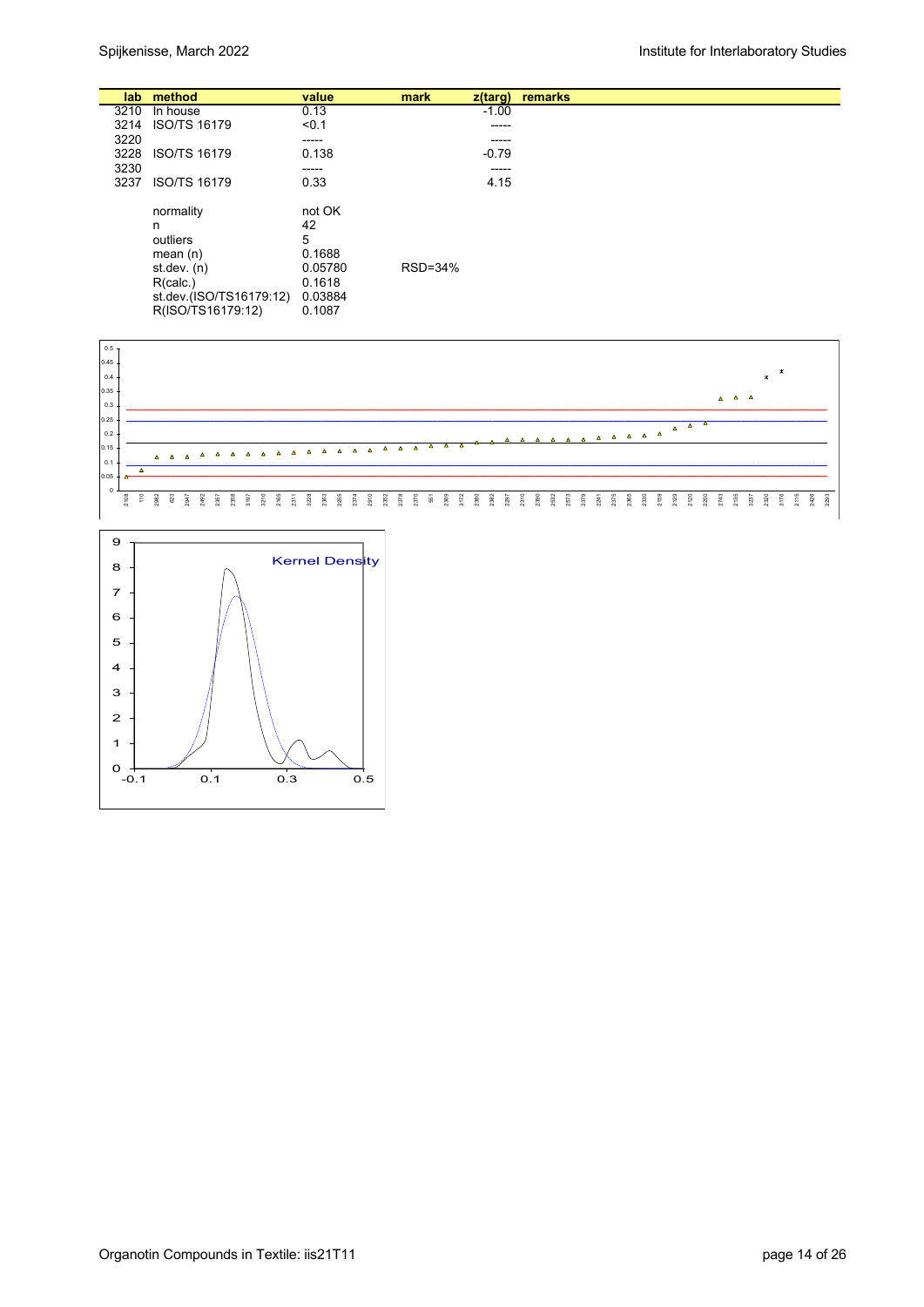|      | lab method                                                                                                            | value                                                                 | mark    | $z$ (targ) | remarks |
|------|-----------------------------------------------------------------------------------------------------------------------|-----------------------------------------------------------------------|---------|------------|---------|
| 3210 | In house                                                                                                              | 0.13                                                                  |         | $-1.00$    |         |
| 3214 | <b>ISO/TS 16179</b>                                                                                                   | < 0.1                                                                 |         | -----      |         |
| 3220 |                                                                                                                       | -----                                                                 |         | -----      |         |
| 3228 | <b>ISO/TS 16179</b>                                                                                                   | 0.138                                                                 |         | $-0.79$    |         |
| 3230 |                                                                                                                       | -----                                                                 |         | -----      |         |
| 3237 | <b>ISO/TS 16179</b>                                                                                                   | 0.33                                                                  |         | 4.15       |         |
|      | normality<br>n<br>outliers<br>mean $(n)$<br>st.dev. $(n)$<br>R(calc.)<br>st.dev.(ISO/TS16179:12)<br>R(ISO/TS16179:12) | not OK<br>42<br>5<br>0.1688<br>0.05780<br>0.1618<br>0.03884<br>0.1087 | RSD=34% |            |         |



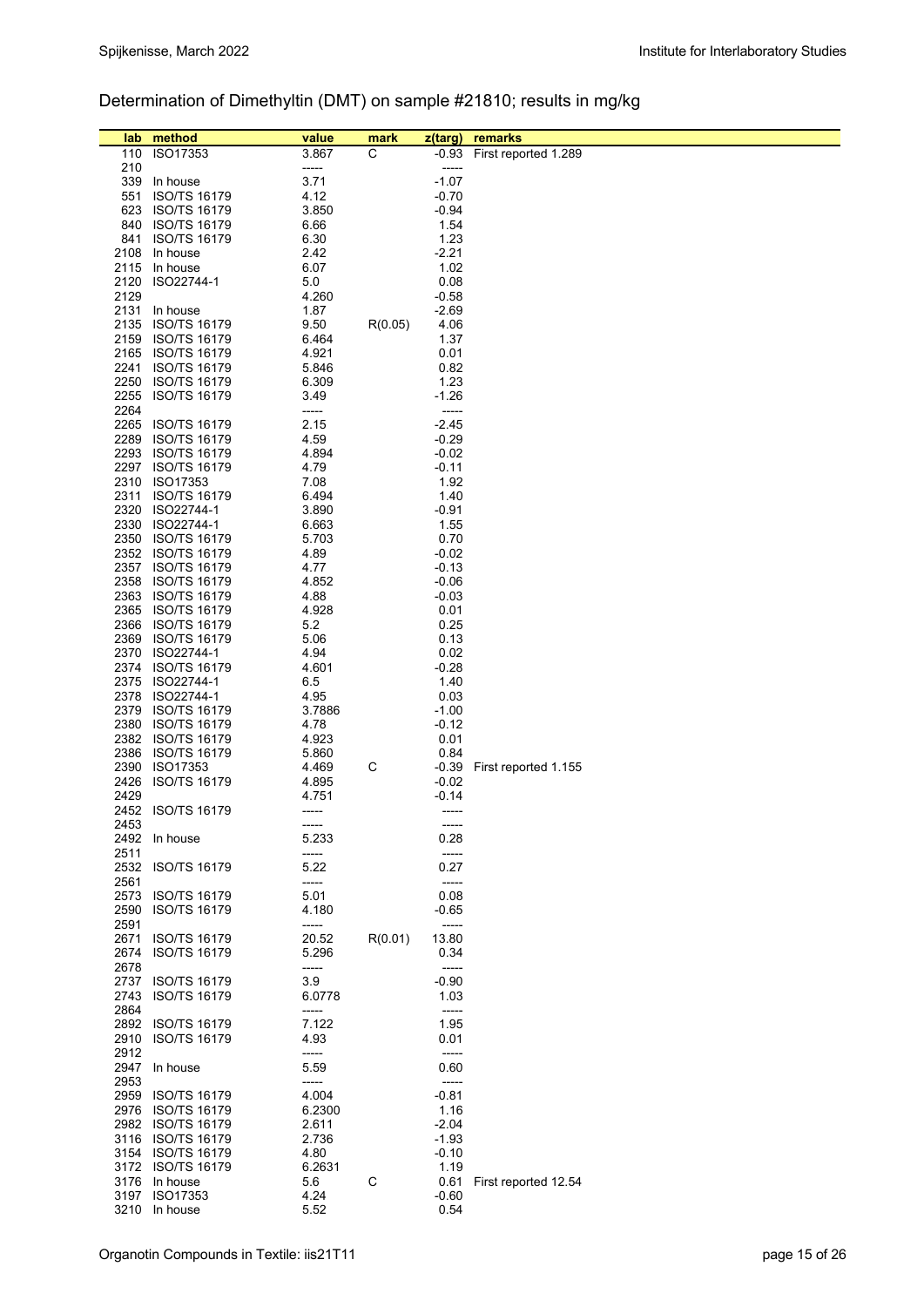# Determination of Dimethyltin (DMT) on sample #21810; results in mg/kg

| lab          | method                               | value          | mark    | z(targ)            | remarks                    |
|--------------|--------------------------------------|----------------|---------|--------------------|----------------------------|
|              | 110 ISO17353                         | 3.867          | C       |                    | -0.93 First reported 1.289 |
| 210          |                                      | -----          |         | -----              |                            |
|              | 339 In house                         | 3.71           |         | $-1.07$            |                            |
| 551          | <b>ISO/TS 16179</b>                  | 4.12           |         | $-0.70$            |                            |
|              | 623 ISO/TS 16179                     | 3.850          |         | $-0.94$            |                            |
|              | 840 ISO/TS 16179                     | 6.66           |         | 1.54               |                            |
| 841          | <b>ISO/TS 16179</b>                  | 6.30           |         | 1.23               |                            |
|              | 2108 In house                        | 2.42           |         | $-2.21$            |                            |
|              | 2115 In house                        | 6.07           |         | 1.02               |                            |
| 2129         | 2120 ISO22744-1                      | 5.0<br>4.260   |         | 0.08               |                            |
|              | 2131 In house                        | 1.87           |         | $-0.58$<br>$-2.69$ |                            |
|              | 2135 ISO/TS 16179                    | 9.50           | R(0.05) | 4.06               |                            |
| 2159         | <b>ISO/TS 16179</b>                  | 6.464          |         | 1.37               |                            |
|              | 2165 ISO/TS 16179                    | 4.921          |         | 0.01               |                            |
|              | 2241 ISO/TS 16179                    | 5.846          |         | 0.82               |                            |
|              | 2250 ISO/TS 16179                    | 6.309          |         | 1.23               |                            |
|              | 2255 ISO/TS 16179                    | 3.49           |         | $-1.26$            |                            |
| 2264         |                                      | -----          |         | -----              |                            |
|              | 2265 ISO/TS 16179                    | 2.15           |         | $-2.45$            |                            |
|              | 2289 ISO/TS 16179                    | 4.59           |         | $-0.29$            |                            |
|              | 2293 ISO/TS 16179                    | 4.894          |         | $-0.02$            |                            |
|              | 2297 ISO/TS 16179                    | 4.79           |         | $-0.11$            |                            |
|              | 2310 ISO17353                        | 7.08           |         | 1.92               |                            |
|              | 2311 ISO/TS 16179<br>2320 ISO22744-1 | 6.494<br>3.890 |         | 1.40<br>$-0.91$    |                            |
|              | 2330 ISO22744-1                      | 6.663          |         | 1.55               |                            |
|              | 2350 ISO/TS 16179                    | 5.703          |         | 0.70               |                            |
|              | 2352 ISO/TS 16179                    | 4.89           |         | $-0.02$            |                            |
|              | 2357 ISO/TS 16179                    | 4.77           |         | $-0.13$            |                            |
|              | 2358 ISO/TS 16179                    | 4.852          |         | $-0.06$            |                            |
|              | 2363 ISO/TS 16179                    | 4.88           |         | $-0.03$            |                            |
|              | 2365 ISO/TS 16179                    | 4.928          |         | 0.01               |                            |
|              | 2366 ISO/TS 16179                    | 5.2            |         | 0.25               |                            |
|              | 2369 ISO/TS 16179                    | 5.06           |         | 0.13               |                            |
|              | 2370 ISO22744-1                      | 4.94           |         | 0.02               |                            |
|              | 2374 ISO/TS 16179                    | 4.601          |         | $-0.28$            |                            |
|              | 2375 ISO22744-1                      | 6.5            |         | 1.40               |                            |
|              | 2378 ISO22744-1<br>2379 ISO/TS 16179 | 4.95<br>3.7886 |         | 0.03<br>$-1.00$    |                            |
|              | 2380 ISO/TS 16179                    | 4.78           |         | $-0.12$            |                            |
|              | 2382 ISO/TS 16179                    | 4.923          |         | 0.01               |                            |
|              | 2386 ISO/TS 16179                    | 5.860          |         | 0.84               |                            |
|              | 2390 ISO17353                        | 4.469          | С       | $-0.39$            | First reported 1.155       |
|              | 2426 ISO/TS 16179                    | 4.895          |         | $-0.02$            |                            |
| 2429         |                                      | 4.751          |         | -0.14              |                            |
|              | 2452 ISO/TS 16179                    | -----          |         | -----              |                            |
| 2453         |                                      |                |         |                    |                            |
|              | 2492 In house                        | 5.233          |         | 0.28               |                            |
| 2511         |                                      | -----          |         | -----              |                            |
|              | 2532 ISO/TS 16179                    | 5.22           |         | 0.27               |                            |
| 2561<br>2573 | <b>ISO/TS 16179</b>                  | -----<br>5.01  |         | -----<br>0.08      |                            |
| 2590         | <b>ISO/TS 16179</b>                  | 4.180          |         | $-0.65$            |                            |
| 2591         |                                      | -----          |         | -----              |                            |
|              | 2671 ISO/TS 16179                    | 20.52          | R(0.01) | 13.80              |                            |
|              | 2674 ISO/TS 16179                    | 5.296          |         | 0.34               |                            |
| 2678         |                                      | -----          |         | -----              |                            |
|              | 2737 ISO/TS 16179                    | 3.9            |         | $-0.90$            |                            |
| 2743         | <b>ISO/TS 16179</b>                  | 6.0778         |         | 1.03               |                            |
| 2864         |                                      | -----          |         | -----              |                            |
|              | 2892 ISO/TS 16179                    | 7.122          |         | 1.95               |                            |
|              | 2910 ISO/TS 16179                    | 4.93           |         | 0.01               |                            |
| 2912         |                                      | -----          |         | -----              |                            |
| 2953         | 2947 In house                        | 5.59<br>-----  |         | 0.60<br>-----      |                            |
|              | 2959 ISO/TS 16179                    | 4.004          |         | $-0.81$            |                            |
|              | 2976 ISO/TS 16179                    | 6.2300         |         | 1.16               |                            |
|              | 2982 ISO/TS 16179                    | 2.611          |         | $-2.04$            |                            |
|              | 3116 ISO/TS 16179                    | 2.736          |         | $-1.93$            |                            |
|              | 3154 ISO/TS 16179                    | 4.80           |         | $-0.10$            |                            |
|              | 3172 ISO/TS 16179                    | 6.2631         |         | 1.19               |                            |
|              | 3176 In house                        | 5.6            | С       | 0.61               | First reported 12.54       |
|              | 3197 ISO17353                        | 4.24           |         | $-0.60$            |                            |
|              | 3210 In house                        | 5.52           |         | 0.54               |                            |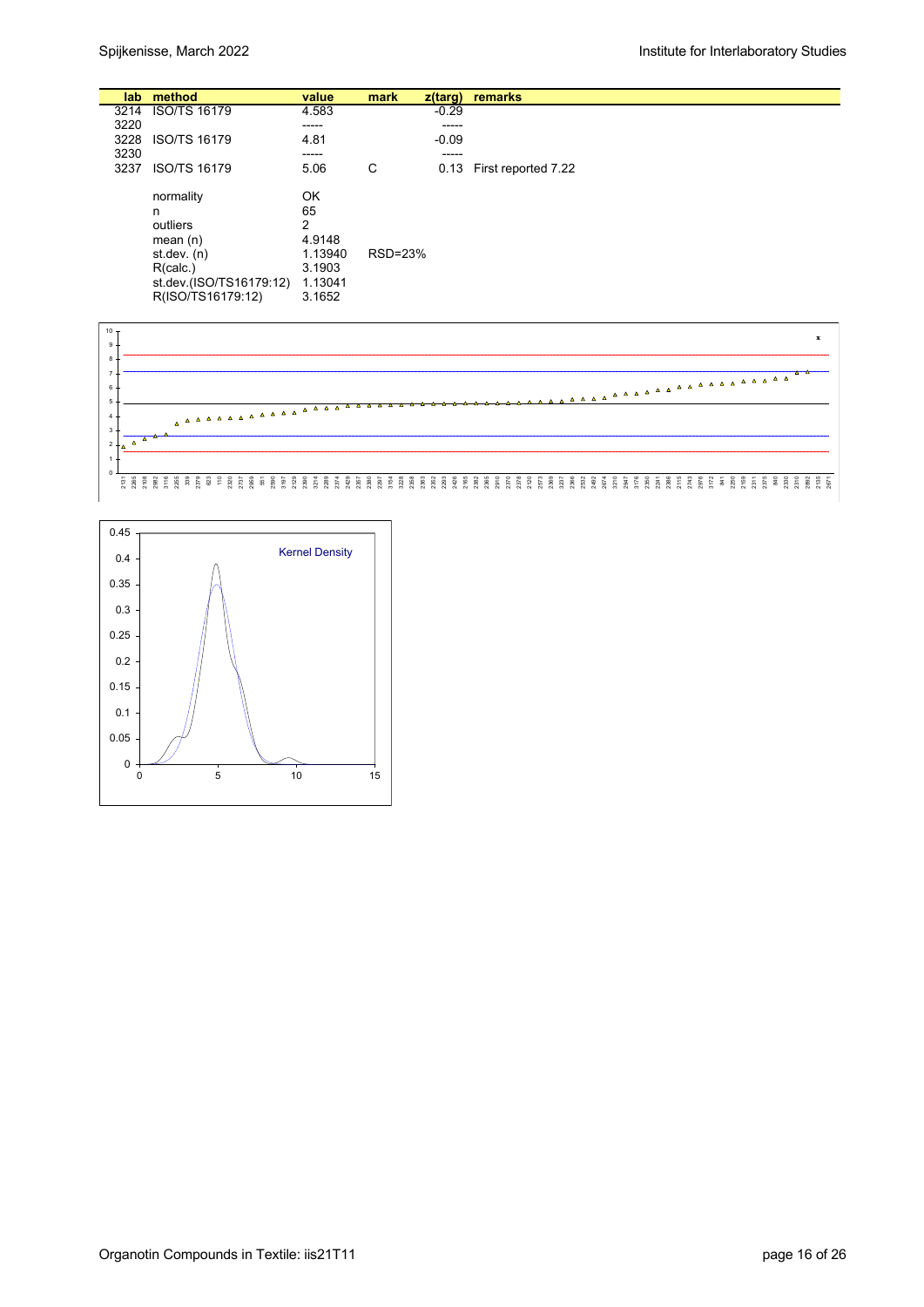|      | lab method                                                                                                            | value                                                             | mark    | $z$ (targ) | remarks                  |
|------|-----------------------------------------------------------------------------------------------------------------------|-------------------------------------------------------------------|---------|------------|--------------------------|
| 3214 | <b>ISO/TS 16179</b>                                                                                                   | 4.583                                                             |         | $-0.29$    |                          |
| 3220 |                                                                                                                       | -----                                                             |         | -----      |                          |
| 3228 | <b>ISO/TS 16179</b>                                                                                                   | 4.81                                                              |         | $-0.09$    |                          |
| 3230 |                                                                                                                       | -----                                                             |         | -----      |                          |
| 3237 | <b>ISO/TS 16179</b>                                                                                                   | 5.06                                                              | C       |            | 0.13 First reported 7.22 |
|      | normality<br>n<br>outliers<br>mean $(n)$<br>st.dev. $(n)$<br>R(calc.)<br>st.dev.(ISO/TS16179:12)<br>R(ISO/TS16179:12) | OK<br>65<br>2<br>4.9148<br>1.13940<br>3.1903<br>1.13041<br>3.1652 | RSD=23% |            |                          |



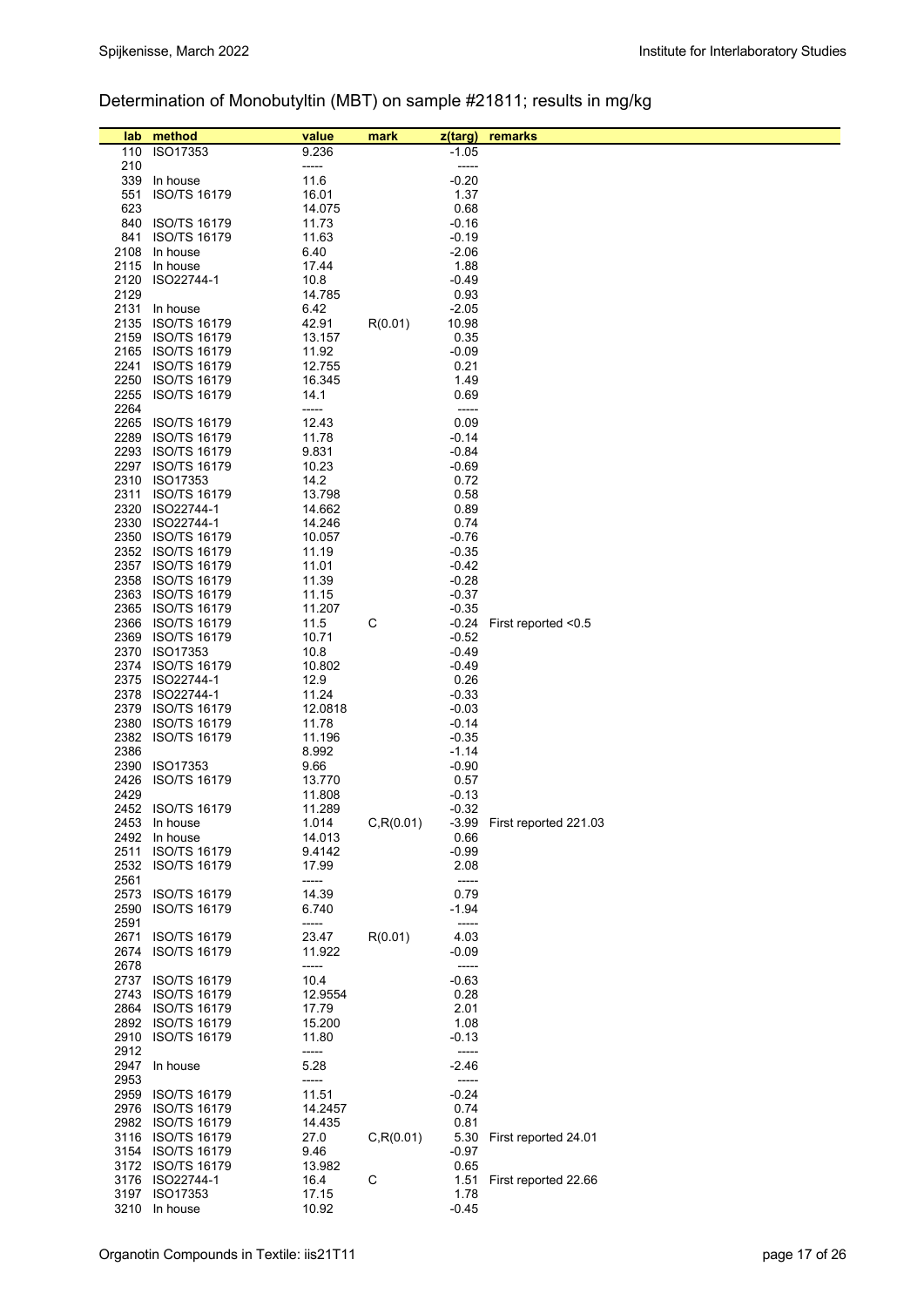# Determination of Monobutyltin (MBT) on sample #21811; results in mg/kg

| lab<br>110   | method<br>ISO17353                       | value<br>9.236  | mark       | z(targ)<br>$-1.05$ | remarks                     |
|--------------|------------------------------------------|-----------------|------------|--------------------|-----------------------------|
| 210          |                                          | -----           |            | -----              |                             |
| 339          | In house                                 | 11.6            |            | $-0.20$            |                             |
| 551          | ISO/TS 16179                             | 16.01           |            | 1.37               |                             |
| 623          |                                          | 14.075          |            | 0.68               |                             |
|              | 840 ISO/TS 16179                         | 11.73           |            | -0.16              |                             |
|              | 841 ISO/TS 16179                         | 11.63           |            | $-0.19$            |                             |
|              | 2108 In house                            | 6.40            |            | $-2.06$            |                             |
|              | 2115 In house                            | 17.44           |            | 1.88               |                             |
|              | 2120 ISO22744-1                          | 10.8            |            | -0.49              |                             |
| 2129         |                                          | 14.785          |            | 0.93               |                             |
|              | 2131 In house                            | 6.42            |            | $-2.05$            |                             |
|              | 2135 ISO/TS 16179                        | 42.91           | R(0.01)    | 10.98              |                             |
|              | 2159 ISO/TS 16179                        | 13.157          |            | 0.35               |                             |
|              | 2165 ISO/TS 16179                        | 11.92           |            | $-0.09$            |                             |
|              | 2241 ISO/TS 16179                        | 12.755          |            | 0.21               |                             |
|              | 2250 ISO/TS 16179                        | 16.345          |            | 1.49               |                             |
|              | 2255 ISO/TS 16179                        | 14.1            |            | 0.69               |                             |
| 2264         |                                          | -----           |            | -----              |                             |
|              | 2265 ISO/TS 16179                        | 12.43           |            | 0.09               |                             |
|              | 2289 ISO/TS 16179                        | 11.78           |            | $-0.14$            |                             |
|              | 2293 ISO/TS 16179                        | 9.831           |            | $-0.84$            |                             |
|              | 2297 ISO/TS 16179                        | 10.23           |            | -0.69              |                             |
|              | 2310 ISO17353                            | 14.2            |            | 0.72               |                             |
|              | 2311 ISO/TS 16179                        | 13.798          |            | 0.58               |                             |
|              | 2320 ISO22744-1                          | 14.662          |            | 0.89               |                             |
|              | 2330 ISO22744-1                          | 14.246          |            | 0.74               |                             |
|              | 2350 ISO/TS 16179                        | 10.057          |            | -0.76              |                             |
|              | 2352 ISO/TS 16179                        | 11.19           |            | $-0.35$            |                             |
|              | 2357 ISO/TS 16179                        | 11.01           |            | $-0.42$            |                             |
|              | 2358 ISO/TS 16179                        | 11.39           |            | $-0.28$            |                             |
|              | 2363 ISO/TS 16179                        | 11.15           |            | $-0.37$            |                             |
|              | 2365 ISO/TS 16179                        | 11.207          |            | $-0.35$            |                             |
|              | 2366 ISO/TS 16179                        | 11.5            | С          | -0.24              | First reported $<$ 0.5      |
|              | 2369 ISO/TS 16179                        | 10.71           |            | $-0.52$            |                             |
|              | 2370 ISO17353                            | 10.8            |            | $-0.49$            |                             |
|              | 2374 ISO/TS 16179<br>2375 ISO22744-1     | 10.802          |            | $-0.49$<br>0.26    |                             |
|              | 2378 ISO22744-1                          | 12.9<br>11.24   |            | $-0.33$            |                             |
|              | 2379 ISO/TS 16179                        | 12.0818         |            | $-0.03$            |                             |
|              | 2380 ISO/TS 16179                        | 11.78           |            | $-0.14$            |                             |
|              | 2382 ISO/TS 16179                        | 11.196          |            | $-0.35$            |                             |
| 2386         |                                          | 8.992           |            | $-1.14$            |                             |
|              | 2390 ISO17353                            | 9.66            |            | $-0.90$            |                             |
| 2426         | <b>ISO/TS 16179</b>                      | 13.770          |            | 0.57               |                             |
| 2429         |                                          | 11.808          |            | -0.13              |                             |
|              | 2452 ISO/TS 16179                        | 11.289          |            | $-0.32$            |                             |
|              | 2453 In house                            | 1.014           | C, R(0.01) |                    | -3.99 First reported 221.03 |
|              | 2492 In house                            | 14.013          |            | 0.66               |                             |
| 2511         | <b>ISO/TS 16179</b>                      | 9.4142          |            | $-0.99$            |                             |
| 2532         | ISO/TS 16179                             | 17.99           |            | 2.08               |                             |
| 2561         |                                          | -----           |            | -----              |                             |
| 2573         | <b>ISO/TS 16179</b>                      | 14.39           |            | 0.79               |                             |
| 2590         | <b>ISO/TS 16179</b>                      | 6.740           |            | -1.94              |                             |
| 2591         |                                          | -----           |            | -----              |                             |
| 2671         | <b>ISO/TS 16179</b>                      | 23.47           | R(0.01)    | 4.03               |                             |
| 2674<br>2678 | <b>ISO/TS 16179</b>                      | 11.922          |            | -0.09              |                             |
|              |                                          | -----           |            | -----              |                             |
| 2743         | 2737 ISO/TS 16179<br><b>ISO/TS 16179</b> | 10.4<br>12.9554 |            | $-0.63$<br>0.28    |                             |
|              | 2864 ISO/TS 16179                        | 17.79           |            | 2.01               |                             |
|              | 2892 ISO/TS 16179                        | 15.200          |            | 1.08               |                             |
|              | 2910 ISO/TS 16179                        | 11.80           |            | $-0.13$            |                             |
| 2912         |                                          | -----           |            | -----              |                             |
|              | 2947 In house                            | 5.28            |            | $-2.46$            |                             |
| 2953         |                                          | -----           |            | -----              |                             |
|              | 2959 ISO/TS 16179                        | 11.51           |            | $-0.24$            |                             |
|              | 2976 ISO/TS 16179                        | 14.2457         |            | 0.74               |                             |
|              | 2982 ISO/TS 16179                        | 14.435          |            | 0.81               |                             |
|              | 3116 ISO/TS 16179                        | 27.0            | C, R(0.01) | 5.30               | First reported 24.01        |
|              | 3154 ISO/TS 16179                        | 9.46            |            | -0.97              |                             |
|              | 3172 ISO/TS 16179                        | 13.982          |            | 0.65               |                             |
|              | 3176 ISO22744-1                          | 16.4            | С          | 1.51               | First reported 22.66        |
|              | 3197 ISO17353                            | 17.15           |            | 1.78               |                             |
|              | 3210 In house                            | 10.92           |            | $-0.45$            |                             |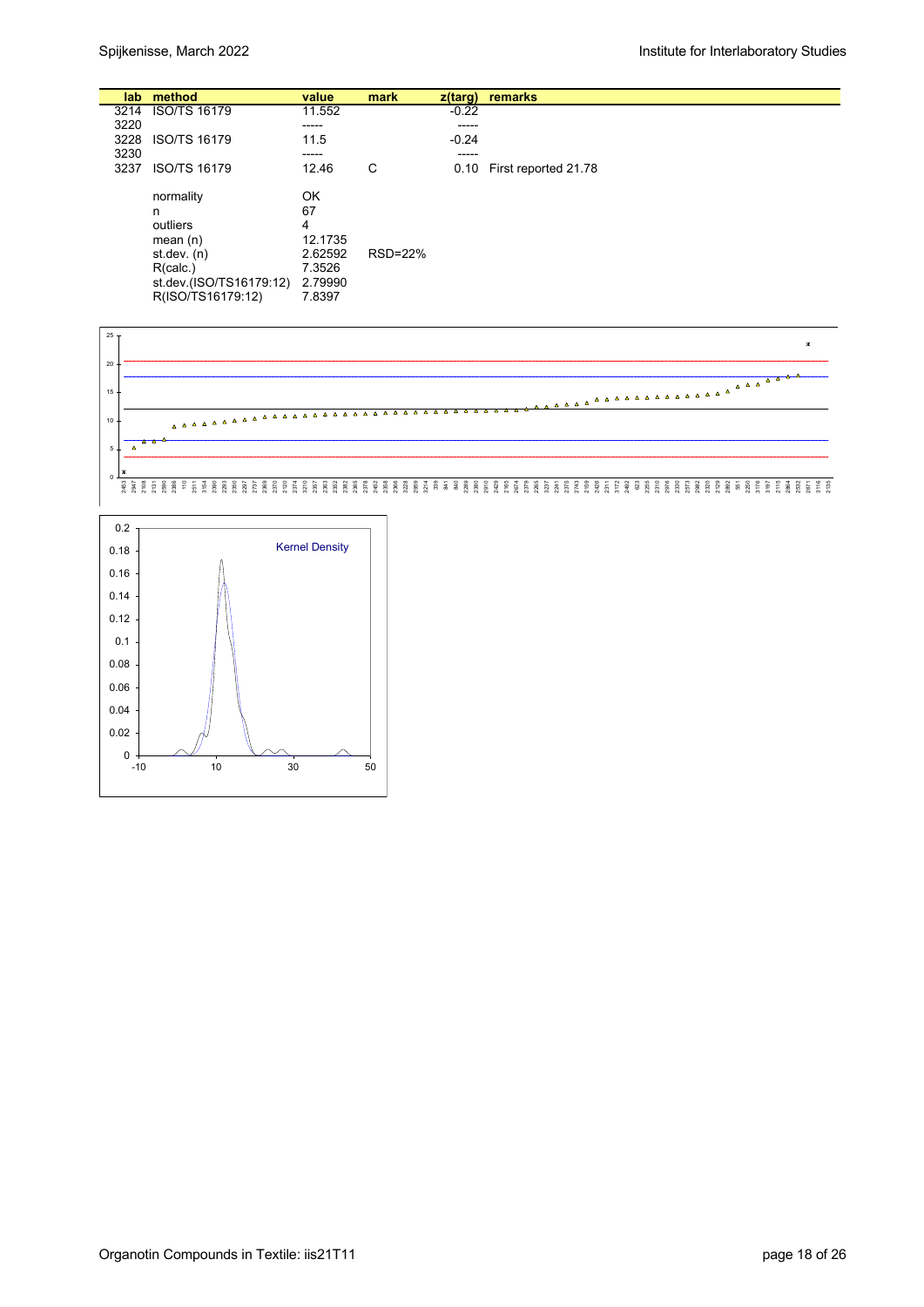|      | lab method                                                                                                            | value                                                              | mark    | z(targ) | remarks              |
|------|-----------------------------------------------------------------------------------------------------------------------|--------------------------------------------------------------------|---------|---------|----------------------|
|      | 3214 ISO/TS 16179                                                                                                     | 11.552                                                             |         | $-0.22$ |                      |
| 3220 |                                                                                                                       | -----                                                              |         | -----   |                      |
| 3228 | <b>ISO/TS 16179</b>                                                                                                   | 11.5                                                               |         | $-0.24$ |                      |
| 3230 |                                                                                                                       | -----                                                              |         | -----   |                      |
| 3237 | <b>ISO/TS 16179</b>                                                                                                   | 12.46                                                              | C       | 0.10    | First reported 21.78 |
|      | normality<br>n<br>outliers<br>mean $(n)$<br>st.dev. $(n)$<br>R(calc.)<br>st.dev.(ISO/TS16179:12)<br>R(ISO/TS16179:12) | ΟK<br>67<br>4<br>12.1735<br>2.62592<br>7.3526<br>2.79990<br>7.8397 | RSD=22% |         |                      |



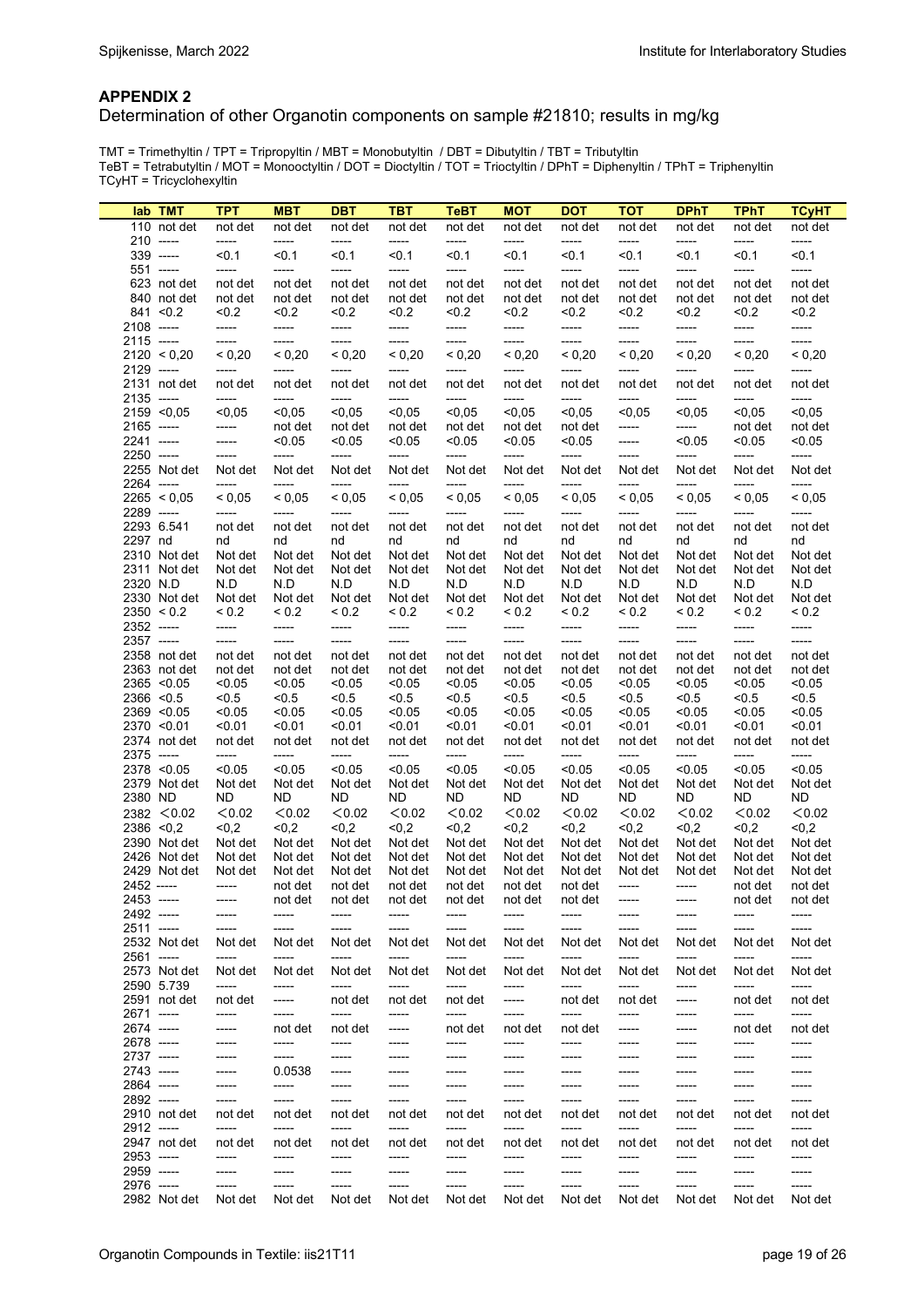#### **APPENDIX 2**

#### Determination of other Organotin components on sample #21810; results in mg/kg

TMT = Trimethyltin / TPT = Tripropyltin / MBT = Monobutyltin / DBT = Dibutyltin / TBT = Tributyltin TeBT = Tetrabutyltin / MOT = Monooctyltin / DOT = Dioctyltin / TOT = Trioctyltin / DPhT = Diphenyltin / TPhT = Triphenyltin TCyHT = Tricyclohexyltin

|                              | lab TMT      | <b>TPT</b>       | <b>MBT</b>       | <b>DBT</b>        | TBT              | <b>TeBT</b>      | <b>MOT</b>       | <b>DOT</b>       | <b>TOT</b>       | <b>DPhT</b>      | <b>TPhT</b>      | <b>TCyHT</b>     |
|------------------------------|--------------|------------------|------------------|-------------------|------------------|------------------|------------------|------------------|------------------|------------------|------------------|------------------|
|                              | 110 not det  | not det          | not det          | not det           | not det          | not det          | not det          | not det          | not det          | not det          | not det          | not det          |
| $210$ -----                  |              | -----            | -----            | $-----$           | $-----$          | -----            | -----            | -----            | -----            | -----            | -----            | -----            |
| $339$ -----                  |              | < 0.1            | < 0.1            | < 0.1             | < 0.1            | < 0.1            | < 0.1            | < 0.1            | < 0.1            | < 0.1            | $0.1$            | < 0.1            |
| 551 -----                    |              | -----            | -----            | -----             | $-----$          | -----            | -----            | -----            | -----            | -----            | -----            | -----            |
|                              | 623 not det  | not det          | not det          | not det           | not det          | not det          | not det          | not det          | not det          | not det          | not det          | not det          |
|                              | 840 not det  | not det          | not det          | not det           | not det          | not det          | not det          | not det          | not det          | not det          | not det          | not det          |
| $841 \le 0.2$                |              | < 0.2            | < 0.2            | < 0.2             | < 0.2            | < 0.2            | < 0.2            | < 0.2            | < 0.2            | 0.2              | < 0.2            | 0.2              |
| 2108 -----                   |              | -----            | -----            | -----             | -----            | -----            | -----            | -----            | -----            | -----            | -----            | -----            |
| $2115$ -----                 |              | -----            | -----            | -----             | -----            | -----            | -----            | -----            | -----            | -----            | -----            | -----            |
|                              | 2120 < 0.20  | < 0,20           | < 0,20           | ${}_{0,20}$       | ${}< 0,20$       | < 0,20           | < 0,20           | < 0,20           | < 0,20           | < 0,20           | < 0,20           | < 0.20           |
| 2129 -----                   |              | -----            | -----            | -----             | -----            | -----            | -----            | -----            | -----            | -----            | -----            | -----            |
| $2135$ -----                 | 2131 not det | not det<br>----- | not det<br>----- | not det<br>-----  | not det<br>----- | not det<br>----- | not det<br>----- | not det<br>----- | not det<br>----- | not det<br>----- | not det<br>----- | not det<br>----- |
| $2159$ <0,05                 |              | < 0.05           | < 0.05           | < 0.05            | < 0.05           | < 0.05           | < 0.05           | < 0,05           | < 0.05           | < 0.05           | < 0.05           | < 0.05           |
| $2165$ -----                 |              | -----            | not det          | not det           | not det          | not det          | not det          | not det          | -----            | -----            | not det          | not det          |
| 2241 -----                   |              | -----            | < 0.05           | < 0.05            | < 0.05           | < 0.05           | < 0.05           | < 0.05           | -----            | < 0.05           | < 0.05           | < 0.05           |
| 2250 -----                   |              | -----            | -----            | -----             | -----            | -----            | -----            | -----            | -----            | -----            | -----            | -----            |
|                              | 2255 Not det | Not det          | Not det          | Not det           | Not det          | Not det          | Not det          | Not det          | Not det          | Not det          | Not det          | Not det          |
| 2264 -----                   |              | -----            | -----            | -----             | -----            | -----            | -----            | -----            | -----            | -----            | -----            | -----            |
|                              | 2265 < 0.05  | < 0.05           | < 0.05           | < 0.05            | ${}_{0.05}$      | < 0.05           | < 0.05           | < 0.05           | < 0.05           | ${}_{0.05}$      | < 0.05           | < 0.05           |
| 2289 -----                   |              | -----            | -----            | -----             | $-----$          | -----            | -----            | -----            | -----            | -----            | -----            | -----            |
| 2293 6.541                   |              | not det          | not det          | not det           | not det          | not det          | not det          | not det          | not det          | not det          | not det          | not det          |
| 2297 nd                      |              | nd               | nd               | nd                | nd               | nd               | nd               | nd               | nd               | nd               | nd               | nd               |
|                              | 2310 Not det | Not det          | Not det          | Not det           | Not det          | Not det          | Not det          | Not det          | Not det          | Not det          | Not det          | Not det          |
|                              | 2311 Not det | Not det          | Not det          | Not det           | Not det          | Not det          | Not det          | Not det          | Not det          | Not det          | Not det          | Not det          |
| 2320 N.D                     |              | N.D              | N.D              | N.D               | N.D              | N.D              | N.D              | N.D              | N.D              | N.D              | N.D              | N.D              |
|                              | 2330 Not det | Not det          | Not det          | Not det           | Not det          | Not det          | Not det          | Not det          | Not det          | Not det          | Not det          | Not det          |
| 2350 < 0.2                   |              | ${}_{0.2}$       | ${}_{0.2}$       | ${}_{0.2}$        | ${}_{0.2}$       | ${}_{0.2}$       | ${}_{0.2}$       | ${}_{0.2}$       | ${}_{0.2}$       | ${}_{0.2}$       | ${}_{0.2}$       | ${}_{0.2}$       |
| 2352 -----                   |              | -----            | -----            | -----             | -----            | -----            | -----            | -----            | -----            | -----            | -----            | -----            |
| 2357 -----                   |              | -----            | -----            | -----             | -----            | -----            | -----            | -----            | -----            | -----            | -----            | -----            |
|                              | 2358 not det | not det          | not det          | not det           | not det          | not det          | not det          | not det          | not det          | not det          | not det          | not det          |
|                              | 2363 not det | not det          | not det          | not det           | not det          | not det          | not det          | not det          | not det          | not det          | not det          | not det          |
| 2365 < 0.05                  |              | < 0.05           | < 0.05           | < 0.05            | < 0.05           | < 0.05           | < 0.05           | < 0.05           | < 0.05           | < 0.05           | < 0.05           | < 0.05           |
| $2366$ < 0.5                 |              | < 0.5            | < 0.5            | < 0.5             | < 0.5            | < 0.5            | < 0.5            | < 0.5            | < 0.5            | < 0.5            | < 0.5            | < 0.5            |
| $2369$ < 0.05<br>2370 < 0.01 |              | < 0.05<br>< 0.01 | < 0.05<br>< 0.01 | < 0.05            | < 0.05<br>< 0.01 | < 0.05<br>< 0.01 | < 0.05<br>< 0.01 | < 0.05<br>< 0.01 | < 0.05<br>< 0.01 | < 0.05<br>< 0.01 | < 0.05<br>< 0.01 | < 0.05           |
|                              | 2374 not det | not det          | not det          | < 0.01<br>not det | not det          | not det          | not det          | not det          | not det          | not det          | not det          | 0.01<br>not det  |
| 2375 -----                   |              | -----            | -----            | -----             | -----            | -----            | -----            | -----            | -----            | -----            | -----            | -----            |
| 2378 < 0.05                  |              | < 0.05           | < 0.05           | < 0.05            | < 0.05           | < 0.05           | < 0.05           | < 0.05           | < 0.05           | < 0.05           | < 0.05           | < 0.05           |
|                              | 2379 Not det | Not det          | Not det          | Not det           | Not det          | Not det          | Not det          | Not det          | Not det          | Not det          | Not det          | Not det          |
| 2380 ND                      |              | ND               | ND               | ND.               | ND               | ND               | ND               | <b>ND</b>        | <b>ND</b>        | <b>ND</b>        | ND               | ND               |
|                              | 2382 < 0.02  | < 0.02           | < 0.02           | < 0.02            | < 0.02           | < 0.02           | < 0.02           | < 0.02           | < 0.02           | < 0.02           | < 0.02           | < 0.02           |
| $2386$ < 0.2                 |              | $0,2$            | <0.2             | < 0.2             | <0,2             | < 0, 2           | <0,2             | < 0.2            | < 0, 2           | < 0,2            | < 0.2            | < 0.2            |
|                              | 2390 Not det | Not det          | Not det          | Not det           | Not det          | Not det          | Not det          | Not det          | Not det          | Not det          | Not det          | Not det          |
|                              | 2426 Not det | Not det          | Not det          | Not det           | Not det          | Not det          | Not det          | Not det          | Not det          | Not det          | Not det          | Not det          |
|                              | 2429 Not det | Not det          | Not det          | Not det           | Not det          | Not det          | Not det          | Not det          | Not det          | Not det          | Not det          | Not det          |
| 2452 -----                   |              | -----            | not det          | not det           | not det          | not det          | not det          | not det          | -----            | -----            | not det          | not det          |
| 2453 -----                   |              | -----            | not det          | not det           | not det          | not det          | not det          | not det          | -----            | -----            | not det          | not det          |
| 2492 -----                   |              | -----            | -----            | -----             | -----            | -----            | -----            | -----            | -----            | -----            | -----            | -----            |
| $2511$ -----                 |              | -----            | -----            | -----             | -----            | -----            | -----            | -----            | -----            | -----            | -----            | -----            |
|                              | 2532 Not det | Not det          | Not det          | Not det           | Not det          | Not det          | Not det          | Not det          | Not det          | Not det          | Not det          | Not det          |
| 2561 -----                   |              | -----            | -----            | -----             | -----            | -----            | -----            | -----            | -----            | -----            | -----            | -----            |
|                              | 2573 Not det | Not det          | Not det          | Not det           | Not det          | Not det          | Not det          | Not det          | Not det          | Not det          | Not det          | Not det          |
| 2590 5.739                   |              | -----            | -----            | -----             | -----            | -----            | -----            | -----            | -----            | -----            | -----            | -----            |
|                              | 2591 not det | not det          | -----            | not det           | not det          | not det          | -----            | not det          | not det          | -----            | not det          | not det          |
| 2671 -----                   |              | -----            | -----            | -----             | -----            | -----            | -----            | -----            | -----            | -----            | -----            | -----            |
| 2674 -----                   |              | -----            | not det          | not det           | -----            | not det          | not det          | not det          | -----            | -----            | not det          | not det          |
| 2678 -----                   |              | -----            | -----<br>-----   | -----             | -----            | -----            | -----            | -----            | -----            | -----            | -----            | -----            |
| 2737 -----<br>2743 -----     |              | -----            | 0.0538           | -----             | -----<br>-----   | ------<br>-----  | -----            | -----            | -----<br>-----   | -----<br>-----   | -----            | -----            |
| 2864 -----                   |              | -----<br>-----   | -----            | -----<br>-----    | -----            | -----            | -----<br>-----   | -----<br>-----   | -----            | -----            | -----<br>-----   | -----<br>-----   |
| 2892 -----                   |              | -----            | -----            | -----             | -----            | -----            | -----            | -----            | -----            | -----            | -----            | -----            |
|                              | 2910 not det | not det          | not det          | not det           | not det          | not det          | not det          | not det          | not det          | not det          | not det          | not det          |
| 2912 -----                   |              | -----            | -----            | -----             | -----            | -----            | -----            | -----            | -----            | -----            | -----            | -----            |
|                              | 2947 not det | not det          | not det          | not det           | not det          | not det          | not det          | not det          | not det          | not det          | not det          | not det          |
| 2953 -----                   |              | -----            | -----            | -----             | -----            | ------           | -----            | -----            | -----            | -----            | -----            | -----            |
| 2959 -----                   |              | -----            | -----            | -----             | -----            | -----            | -----            | -----            | -----            | -----            | -----            | -----            |
| 2976 -----                   |              | -----            | -----            | -----             | -----            | -----            | -----            | -----            | -----            | -----            | -----            | -----            |
|                              | 2982 Not det | Not det          | Not det          | Not det           | Not det          | Not det          | Not det          | Not det          | Not det          | Not det          | Not det          | Not det          |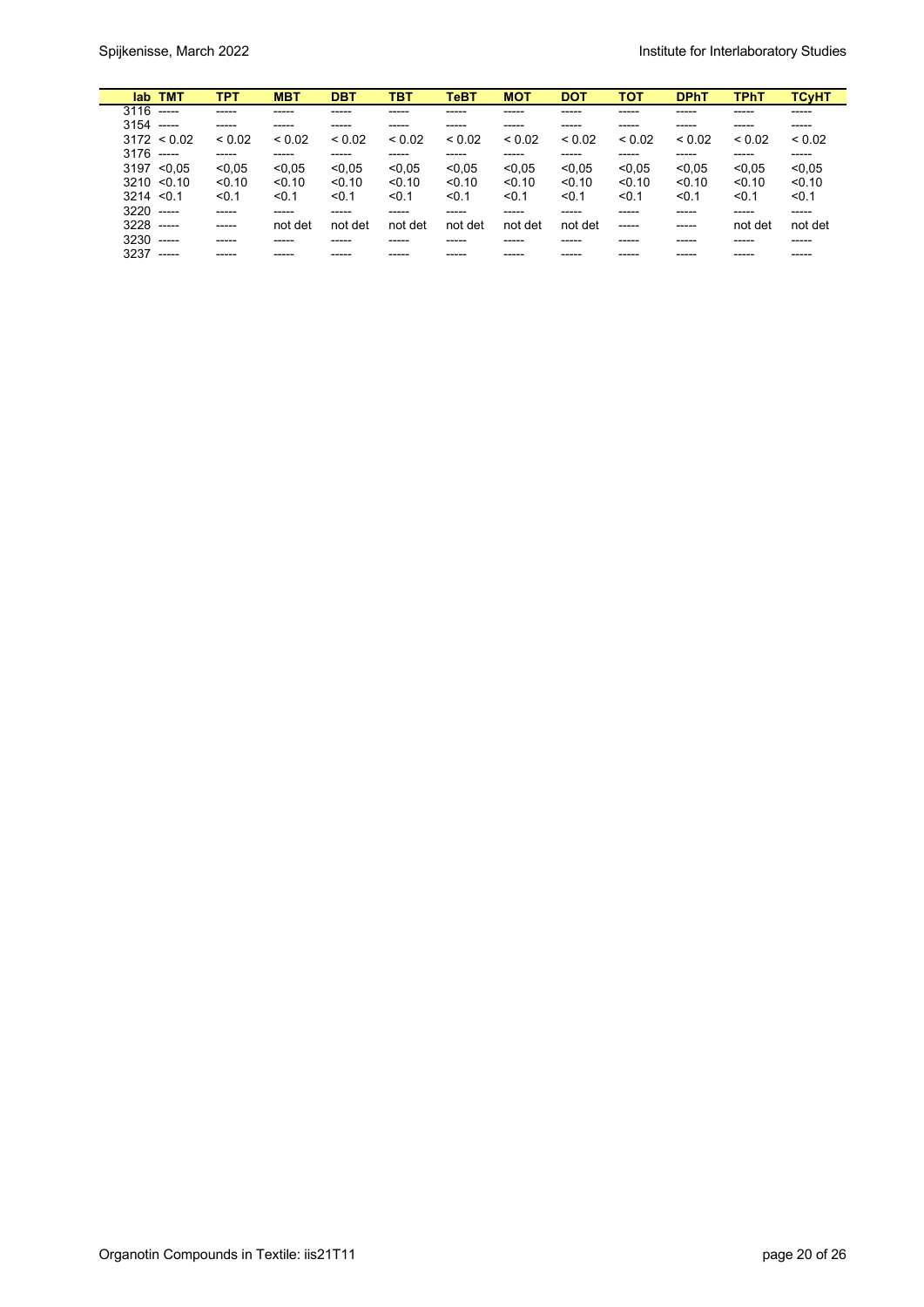| lab TMT             | TPT         | <b>MBT</b>  | <b>DBT</b>  | твт         | TeBT        | <b>MOT</b>  | <b>DOT</b>  | <b>TOT</b>  | <b>DPhT</b> | <b>TPhT</b> | <b>TCyHT</b> |
|---------------------|-------------|-------------|-------------|-------------|-------------|-------------|-------------|-------------|-------------|-------------|--------------|
| $3116$ -----        | $- - - - -$ | -----       | -----       | -----       | -----       | -----       | ------      | -----       | -----       | -----       | -----        |
| $3154$ -----        | -----       | -----       | -----       | -----       |             |             | ------      |             | -----       | ------      | -----        |
| $3172 \le 0.02$     | ${}_{0.02}$ | ${}_{0.02}$ | ${}_{0.02}$ | ${}_{0.02}$ | ${}_{0.02}$ | ${}_{0.02}$ | ${}_{0.02}$ | ${}_{0.02}$ | ${}_{0.02}$ | ${}_{0.02}$ | ${}_{0.02}$  |
| $3176$ -----        | -----       | -----       | -----       | -----       | -----       | -----       | -----       | -----       | -----       | -----       | -----        |
| $3197$ < 0.05       | < 0.05      | < 0.05      | < 0.05      | < 0.05      | < 0.05      | < 0.05      | < 0.05      | < 0.05      | < 0.05      | < 0.05      | < 0.05       |
| $3210 \le 0.10$     | < 0.10      | < 0.10      | < 0.10      | < 0.10      | < 0.10      | < 0.10      | < 0.10      | < 0.10      | < 0.10      | < 0.10      | < 0.10       |
| $3214 \le 0.1$      | < 0.1       | < 0.1       | < 0.1       | < 0.1       | < 0.1       | < 0.1       | < 0.1       | < 0.1       | < 0.1       | < 0.1       | < 0.1        |
| $3220$ -----        | -----       | -----       | ------      | -----       | -----       | -----       | -----       | -----       | -----       | ------      | ------       |
| $3228$ -----        | $-----1$    | not det     | not det     | not det     | not det     | not det     | not det     | -----       | -----       | not det     | not det      |
| $3230$ -----        | -----       | -----       | ------      | -----       | -----       | -----       | ------      | ------      | -----       | -----       | -----        |
| 3237<br>$- - - - -$ | -----       |             |             |             |             |             |             |             |             |             | -----        |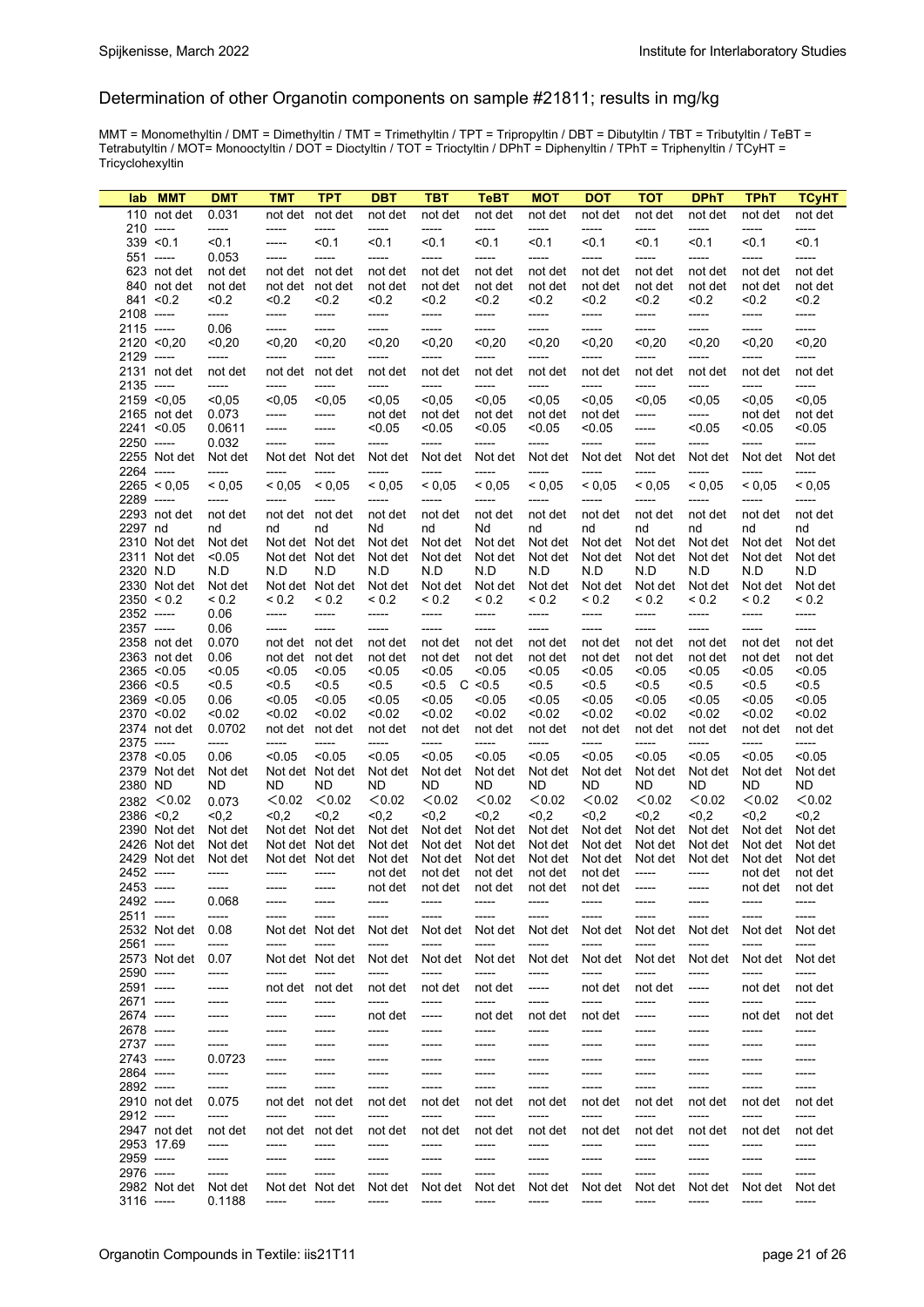#### Determination of other Organotin components on sample #21811; results in mg/kg

MMT = Monomethyltin / DMT = Dimethyltin / TMT = Trimethyltin / TPT = Tripropyltin / DBT = Dibutyltin / TBT = Tributyltin / TeBT = Tetrabutyltin / MOT= Monooctyltin / DOT = Dioctyltin / TOT = Trioctyltin / DPhT = Diphenyltin / TPhT = Triphenyltin / TCyHT = Tricyclohexyltin

| <b>MMT</b><br>lab          | <b>DMT</b>       | <b>TMT</b>        | <b>TPT</b>               | <b>DBT</b>        | <b>TBT</b>                      | TeBT             | <b>MOT</b>           | <b>DOT</b>       | <b>TOT</b>       | <b>DPhT</b>          | <b>TPhT</b>            | <b>TCvHT</b>     |
|----------------------------|------------------|-------------------|--------------------------|-------------------|---------------------------------|------------------|----------------------|------------------|------------------|----------------------|------------------------|------------------|
| 110 not det                | 0.031            |                   | not det not det          | not det           | not det                         | not det          | not det              | not det          | not det          | not det              | not det                | not det          |
| $210$ -----                | -----            | -----             | -----                    | -----             | -----                           | -----            | -----                | -----            | -----            | -----                | -----                  | -----            |
| $339$ < 0.1                | < 0.1            | -----             | < 0.1                    | < 0.1             | < 0.1                           | < 0.1            | < 0.1                | < 0.1            | < 0.1            | < 0.1                | < 0.1                  | < 0.1            |
| $551$ -----                | 0.053            | -----             | -----                    | -----             | -----                           | -----            | -----                | -----            | -----            | -----                | -----                  | -----            |
| 623 not det                | not det          |                   | not det not det          | not det           | not det                         | not det          | not det              | not det          | not det          | not det              | not det                | not det          |
| 840 not det                | not det          |                   | not det not det          | not det           | not det                         | not det          | not det              | not det          | not det          | not det              | not det                | not det          |
| $841 \le 0.2$              | < 0.2            | 0.2               | < 0.2                    | 0.2               | < 0.2                           | < 0.2            | 50.2                 | < 0.2            | < 0.2            | < 0.2                | < 0.2                  | < 0.2            |
| 2108 -----                 | -----            | -----             | -----                    | -----             | -----                           | -----            | -----                | -----            | -----            | -----                | -----                  | -----            |
| 2115 -----                 | 0.06             | -----             | -----                    | -----             | -----                           | -----            | -----                | -----            | -----            | -----                | -----                  | -----            |
| $2120$ <0,20               | < 0,20           | < 0, 20           | < 0, 20                  | < 0, 20           | < 0,20                          | < 0,20           | < 0, 20              | < 0, 20          | < 0,20           | < 0, 20              | < 0,20                 | $0,20$           |
| 2129 -----                 | $-----$          | -----             | -----                    | -----             | -----                           | -----            | -----                | -----            | -----            | -----                | -----                  | -----            |
| 2131 not det               | not det          |                   | not det not det          | not det           | not det                         | not det          | not det              | not det          | not det          | not det              | not det                | not det          |
| 2135 -----                 | $-----$          | -----             | -----                    | -----             | -----                           | -----            | -----                | -----            | -----            | -----                | -----                  | -----            |
| $2159$ <0.05               | < 0.05           | < 0.05            | < 0.05                   | < 0.05            | < 0.05                          | < 0.05           | < 0.05               | < 0.05           | < 0.05           | < 0.05               | < 0.05                 | < 0.05           |
| 2165 not det               | 0.073            | -----             | -----                    | not det           | not det                         | not det          | not det              | not det          | -----            | -----                | not det                | not det          |
| 2241 < 0.05                | 0.0611           | -----             | -----                    | < 0.05            | < 0.05                          | < 0.05           | < 0.05               | < 0.05           | -----            | < 0.05               | < 0.05                 | < 0.05           |
| 2250 -----                 | 0.032            | -----             | -----                    | -----             | -----                           | -----            | -----                | -----            | -----            | -----                | -----                  | -----            |
| 2255 Not det               | Not det          |                   | Not det Not det          | Not det           | Not det                         | Not det          | Not det              | Not det          | Not det          | Not det              | Not det                | Not det          |
| 2264 -----                 | $-----$          | $-----$<br>< 0.05 | -----<br>${}_{0.05}$     | $-----$<br>< 0.05 | -----<br>${}_{0.05}$            | -----<br>< 0.05  | -----<br>${}_{0.05}$ | -----<br>< 0.05  | -----<br>< 0.05  | -----<br>${}_{0.05}$ | $-----$<br>${}_{0.05}$ | -----            |
| 2265 < 0.05                | ${}_{0.05}$      |                   |                          |                   |                                 |                  |                      |                  |                  | -----                |                        | < 0.05           |
| 2289 -----<br>2293 not det | -----<br>not det | -----             | -----<br>not det not det | -----<br>not det  | -----<br>not det                | -----<br>not det | -----<br>not det     | -----<br>not det | -----<br>not det | not det              | -----<br>not det       | -----<br>not det |
| 2297 nd                    | nd               | nd                | nd                       | Nd                | nd                              | Nd               | nd                   | nd               | nd               | nd                   | nd                     | nd               |
| 2310 Not det               | Not det          |                   | Not det Not det          | Not det Not det   |                                 | Not det          | Not det              | Not det          | Not det          | Not det              | Not det                | Not det          |
| 2311 Not det               | < 0.05           |                   | Not det Not det          | Not det Not det   |                                 | Not det          |                      | Not det Not det  |                  | Not det Not det      | Not det                | Not det          |
| 2320 N.D                   | N.D              | N.D               | N.D                      | N.D               | N.D                             | N.D              | N.D                  | N.D              | N.D              | N.D                  | N.D                    | N.D              |
| 2330 Not det Not det       |                  |                   |                          |                   | Not det Not det Not det Not det |                  | Not det Not det      | Not det          |                  | Not det Not det      | Not det                | Not det          |
| 2350 < 0.2                 | ${}_{0.2}$       | ${}_{0.2}$        | ${}_{0.2}$               | ${}_{0.2}$        | ${}_{0.2}$                      | ${}_{0.2}$       | ${}_{0.2}$           | ${}_{0.2}$       | ${}_{0.2}$       | < 0.2                | ${}_{0.2}$             | ${}_{0.2}$       |
| 2352 -----                 | 0.06             | -----             | -----                    | -----             | -----                           | -----            | -----                | -----            | -----            | -----                | -----                  | -----            |
| 2357 -----                 | 0.06             | -----             | -----                    | -----             | -----                           | -----            | -----                | -----            | -----            | -----                | $-----$                | -----            |
| 2358 not det               | 0.070            |                   | not det not det          | not det           | not det                         | not det          | not det              | not det          | not det          | not det              | not det                | not det          |
| 2363 not det               | 0.06             |                   | not det not det          | not det           | not det                         | not det          | not det              | not det          | not det          | not det              | not det                | not det          |
| 2365 < 0.05                | < 0.05           | < 0.05            | < 0.05                   | < 0.05            | < 0.05                          | < 0.05           | < 0.05               | < 0.05           | < 0.05           | < 0.05               | < 0.05                 | < 0.05           |
| 2366 < 0.5                 | < 0.5            | < 0.5             | < 0.5                    | < 0.5             | $< 0.5$ C $< 0.5$               |                  | < 0.5                | < 0.5            | < 0.5            | < 0.5                | < 0.5                  | < 0.5            |
| $2369$ < 0.05              | 0.06             | < 0.05            | < 0.05                   | < 0.05            | 0.05                            | < 0.05           | < 0.05               | < 0.05           | < 0.05           | < 0.05               | < 0.05                 | < 0.05           |
| 2370 < 0.02                | < 0.02           | < 0.02            | < 0.02                   | < 0.02            | < 0.02                          | < 0.02           | < 0.02               | < 0.02           | < 0.02           | < 0.02               | < 0.02                 | < 0.02           |
| 2374 not det               | 0.0702           |                   | not det not det          | not det           | not det                         | not det          | not det              | not det          | not det          | not det              | not det                | not det          |
| 2375 -----                 | -----            | -----             | -----                    | -----             | -----                           | -----            | -----                | -----            | -----            | -----                | -----                  | -----            |
| 2378 < 0.05                | 0.06             | < 0.05            | < 0.05                   | < 0.05            | < 0.05                          | < 0.05           | < 0.05               | < 0.05           | < 0.05           | < 0.05               | < 0.05                 | < 0.05           |
| 2379 Not det               | Not det          |                   | Not det Not det          | Not det           | Not det                         | Not det          | Not det              | Not det          | Not det          | Not det              | Not det                | Not det          |
| 2380 ND                    | ND               | ND.               | ND                       | ND                | ND                              | ND.              | ND.                  | ND               | ND               | ND                   | ND                     | ND.              |
| 2382 < 0.02                | 0.073            | < 0.02            | < 0.02                   | < 0.02            | < 0.02                          | < 0.02           | < 0.02               | < 0.02           | < 0.02           | < 0.02               | < 0.02                 | < 0.02           |
| 2386 < 0.2                 | < 0.2            | < 0.2             | < 0.2                    | < 0.2             | < 0.2                           | < 0.2            | < 0.2                | < 0.2            | < 0.2            | < 0.2                | < 0.2                  | < 0.2            |
| 2390 Not det               | Not det          |                   | Not det Not det          |                   | Not det Not det                 | Not det          |                      | Not det Not det  |                  | Not det Not det      | Not det                | Not det          |
| 2426 Not det               | Not det          |                   | Not det Not det          |                   | Not det Not det                 | Not det          | Not det              | Not det          |                  | Not det Not det      | Not det                | Not det          |
| 2429 Not det               | Not det          |                   | Not det Not det          |                   | Not det Not det                 | Not det          | Not det              | Not det          |                  | Not det Not det      | Not det                | Not det          |
| 2452 -----                 | -----            | -----             | -----                    |                   | not det not det                 | not det          |                      | not det not det  | $-----$          | -----                | not det                | not det          |
| 2453 -----                 | -----            | -----             | -----                    | not det           | not det                         | not det          | not det              | not det          | -----            | -----                | not det                | not det          |
| 2492 -----                 | 0.068            | -----             | -----                    | -----             | -----                           | -----            | -----                | -----            |                  | -----                | -----                  | -----            |
| 2511 -----                 | -----            | -----             | -----                    | -----             | -----                           | -----            | -----                | -----            |                  | -----                | -----                  | -----            |
| 2532 Not det               | 0.08             |                   | Not det Not det          | Not det           | Not det                         | Not det          | Not det              | Not det          | Not det          | Not det              | Not det                | Not det          |
| 2561 -----                 | -----            | -----             | -----                    | -----             | -----                           | -----<br>Not det | -----                | -----            | -----            | -----                | -----                  | -----            |
| 2573 Not det<br>2590 ----- | 0.07             |                   | Not det Not det<br>----- | Not det<br>-----  | Not det<br>-----                |                  | Not det              | Not det<br>----- | Not det          | Not det              | Not det<br>-----       | Not det          |
| 2591 -----                 | -----<br>-----   | -----             | not det not det          | not det           | not det                         | -----<br>not det | -----<br>-----       | not det          | -----<br>not det | -----                | not det                | -----<br>not det |
| 2671 -----                 | -----            | -----             | -----                    | -----             | -----                           | -----            | -----                | -----            | -----            | -----<br>-----       | -----                  | -----            |
| 2674 -----                 | -----            | -----             | -----                    | not det           | -----                           | not det          | not det              | not det          | -----            | -----                | not det                | not det          |
| 2678 -----                 | $-----1$         | -----             | $-----1$                 | $-----$           | -----                           | -----            | ------               | $-----$          | -----            | -----                | -----                  | -----            |
| 2737 -----                 | -----            | -----             | $-----1$                 | -----             | -----                           | -----            | ------               | -----            | -----            | -----                | -----                  | -----            |
| 2743 -----                 | 0.0723           | -----             | -----                    | -----             | -----                           | -----            | -----                | -----            | -----            | -----                | -----                  | -----            |
| 2864 -----                 | -----            | -----             | -----                    | -----             | -----                           | -----            | -----                | -----            | -----            | -----                | -----                  | -----            |
| 2892 -----                 | -----            | -----             | -----                    | -----             | -----                           | -----            | -----                | -----            | -----            | -----                | -----                  | -----            |
| 2910 not det               | 0.075            | not det           | not det                  | not det           | not det                         | not det          | not det              | not det          | not det          | not det              | not det                | not det          |
| 2912 -----                 | -----            | -----             | -----                    | -----             | -----                           | -----            | -----                | -----            | -----            | -----                | -----                  | -----            |
| 2947 not det               | not det          |                   | not det not det          | not det           | not det                         | not det          | not det              | not det          | not det          | not det              | not det                | not det          |
| 2953 17.69                 | -----            | -----             | -----                    | -----             | -----                           | -----            | ------               | $-----$          | -----            | -----                | -----                  | -----            |
| 2959 -----                 | -----            | -----             | -----                    | -----             | -----                           | -----            | -----                | -----            | -----            | -----                | -----                  | -----            |
| 2976 -----                 | -----            | -----             | -----                    | -----             | -----                           | -----            | -----                | -----            | -----            | -----                | -----                  | -----            |
| 2982 Not det               | Not det          |                   | Not det Not det          | Not det           | Not det                         | Not det          | Not det              | Not det          | Not det          | Not det              | Not det                | Not det          |
| 3116 -----                 | 0.1188           | -----             | -----                    | -----             | -----                           | -----            | -----                | -----            | -----            | -----                | -----                  | -----            |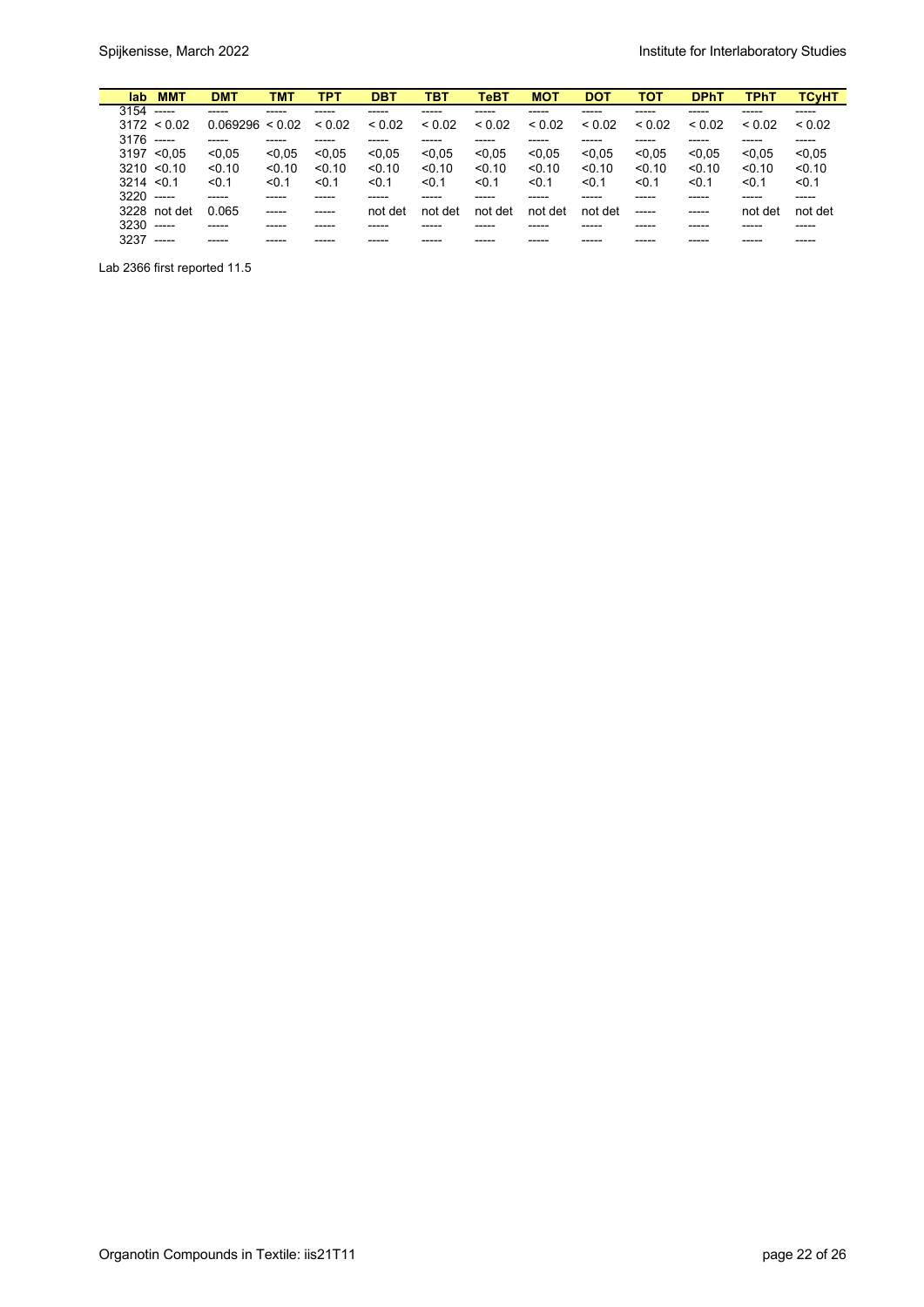| lab.           | <b>MMT</b>      | <b>DMT</b>      | <b>TMT</b>  | TPT         | <b>DBT</b> | <b>TBT</b>  | TeBT    | <b>MOT</b>  | <b>DOT</b> | <b>TOT</b>  | <b>DPhT</b> | <b>TPhT</b> | <b>TCvHT</b> |
|----------------|-----------------|-----------------|-------------|-------------|------------|-------------|---------|-------------|------------|-------------|-------------|-------------|--------------|
| $3154$ -----   |                 |                 |             |             |            |             |         |             |            |             |             |             |              |
|                | $3172 \le 0.02$ | 0.069296 < 0.02 |             | ${}_{0.02}$ | < 0.02     | ${}_{0.02}$ | < 0.02  | ${}_{0.02}$ | < 0.02     | ${}_{0.02}$ | < 0.02      | ${}_{0.02}$ | < 0.02       |
| $3176$ -----   |                 | $- - - - -$     |             |             |            |             |         |             |            |             |             |             |              |
|                | $3197 \le 0.05$ | < 0.05          | < 0.05      | < 0.05      | < 0.05     | < 0.05      | < 0.05  | < 0.05      | < 0.05     | < 0.05      | < 0.05      | < 0.05      | < 0.05       |
|                | $3210 \le 0.10$ | < 0.10          | < 0.10      | < 0.10      | < 0.10     | < 0.10      | < 0.10  | < 0.10      | < 0.10     | < 0.10      | < 0.10      | < 0.10      | < 0.10       |
| $3214 \le 0.1$ |                 | < 0.1           | < 0.1       | < 0.1       | < 0.1      | < 0.1       | < 0.1   | < 0.1       | < 0.1      | < 0.1       | < 0.1       | < 0.1       | < 0.1        |
| $3220$ -----   |                 | $--- -$         |             |             |            |             |         |             |            |             |             |             |              |
|                | 3228 not det    | 0.065           | $- - - - -$ | -----       | not det    | not det     | not det | not det     | not det    | ------      | -----       | not det     | not det      |
| $3230$ -----   |                 |                 |             |             |            |             |         |             |            |             |             |             |              |
| 3237           | $\frac{1}{1}$   | -----           |             |             |            |             |         |             |            |             |             |             |              |

Lab 2366 first reported 11.5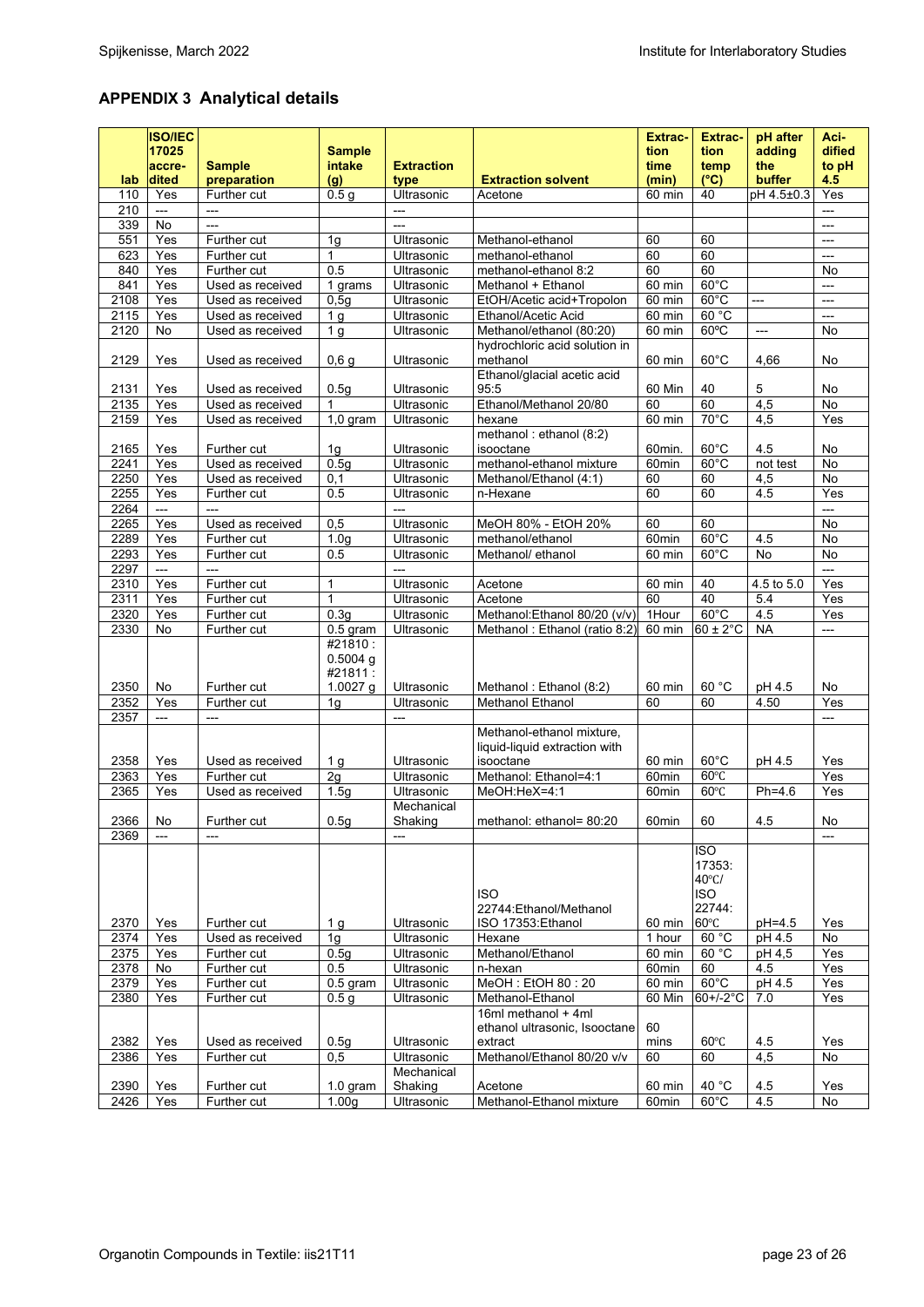# **APPENDIX 3 Analytical details**

|              | <b>ISO/IEC</b><br>17025<br>accre- | <b>Sample</b>                   | <b>Sample</b><br>intake          | <b>Extraction</b>        |                                                             | <b>Extrac-</b><br>tion<br>time | <b>Extrac-</b><br>tion<br>temp                        | pH after<br>adding<br>the | Aci-<br>dified<br>to pH |
|--------------|-----------------------------------|---------------------------------|----------------------------------|--------------------------|-------------------------------------------------------------|--------------------------------|-------------------------------------------------------|---------------------------|-------------------------|
| lab.         | dited                             | preparation                     | (g)                              | type                     | <b>Extraction solvent</b>                                   | (min)                          | $(^{\circ}C)$                                         | buffer                    | 4.5                     |
| 110          | Yes                               | Further cut                     | 0.5 <sub>g</sub>                 | Ultrasonic               | Acetone                                                     | 60 min                         | 40                                                    | pH 4.5±0.3                | Yes                     |
| 210          | $---$                             | ---                             |                                  | $\overline{a}$           |                                                             |                                |                                                       |                           | ---                     |
| 339          | No                                | $\overline{a}$                  |                                  | ---                      |                                                             |                                |                                                       |                           | ---                     |
| 551          | Yes                               | Further cut                     | 1g                               | Ultrasonic               | Methanol-ethanol                                            | 60                             | 60                                                    |                           | $\overline{a}$          |
| 623          | Yes                               | Further cut                     | 1                                | Ultrasonic               | methanol-ethanol                                            | 60                             | 60                                                    |                           | ---                     |
| 840          | Yes                               | Further cut                     | 0.5                              | Ultrasonic               | methanol-ethanol 8:2                                        | 60                             | 60                                                    |                           | No                      |
| 841          | Yes                               | Used as received                | 1 grams                          | Ultrasonic               | Methanol + Ethanol                                          | 60 min                         | $60^{\circ}$ C                                        |                           | $\overline{a}$          |
| 2108         | Yes                               | Used as received                | 0,5g                             | Ultrasonic               | EtOH/Acetic acid+Tropolon                                   | 60 min                         | $60^{\circ}$ C                                        | ---                       | ---                     |
| 2115         | Yes                               | Used as received                | 1 <sub>g</sub>                   | Ultrasonic               | Ethanol/Acetic Acid                                         | 60 min                         | 60 °C                                                 |                           | $\overline{a}$          |
| 2120         | No                                | Used as received                | 1 <sub>g</sub>                   | Ultrasonic               | Methanol/ethanol (80:20)                                    | 60 min                         | $60^{\circ}$ C                                        | $\overline{\phantom{a}}$  | No                      |
|              |                                   |                                 |                                  |                          | hydrochloric acid solution in                               |                                |                                                       |                           |                         |
| 2129         | Yes                               | Used as received                | 0,6g                             | Ultrasonic               | methanol                                                    | 60 min                         | $60^{\circ}$ C                                        | 4,66                      | No                      |
|              |                                   |                                 |                                  |                          | Ethanol/glacial acetic acid                                 |                                |                                                       |                           |                         |
| 2131         | Yes                               | Used as received                | 0.5q                             | Ultrasonic               | 95:5                                                        | 60 Min                         | 40                                                    | 5                         | No                      |
| 2135         | Yes                               | Used as received                | 1                                | Ultrasonic               | Ethanol/Methanol 20/80                                      | 60                             | 60                                                    | 4,5                       | No                      |
| 2159         | Yes                               | Used as received                | $1,0$ gram                       | Ultrasonic               | hexane                                                      | 60 min                         | $70^{\circ}$ C                                        | 4,5                       | Yes                     |
|              |                                   |                                 |                                  |                          | methanol: ethanol (8:2)                                     |                                |                                                       |                           |                         |
| 2165         | Yes                               | Further cut                     | 1 <sub>g</sub>                   | Ultrasonic               | isooctane                                                   | 60min.                         | $60^{\circ}$ C                                        | 4.5                       | No                      |
| 2241         | Yes                               | Used as received                | 0.5 <sub>g</sub>                 | Ultrasonic               | methanol-ethanol mixture                                    | 60 <sub>min</sub>              | $60^{\circ}$ C                                        | not test                  | <b>No</b>               |
| 2250         | Yes                               | Used as received                | 0,1                              | Ultrasonic               | Methanol/Ethanol (4:1)                                      | 60                             | 60                                                    | 4,5                       | No                      |
| 2255         | Yes                               | Further cut                     | 0.5                              | Ultrasonic               | n-Hexane                                                    | 60                             | 60                                                    | 4.5                       | Yes                     |
| 2264         | ---                               | $\overline{a}$                  |                                  | $\overline{a}$           |                                                             |                                |                                                       |                           | $\overline{a}$          |
| 2265         | Yes                               | Used as received                | 0,5                              | Ultrasonic               | MeOH 80% - EtOH 20%                                         | 60                             | 60                                                    |                           | No                      |
| 2289         | Yes                               | Further cut                     | 1.0 <sub>q</sub>                 | Ultrasonic               | methanol/ethanol                                            | 60min                          | $60^{\circ}$ C                                        | 4.5                       | No                      |
| 2293         | Yes                               | Further cut                     | 0.5                              | Ultrasonic               | Methanol/ ethanol                                           | 60 min                         | $60^{\circ}$ C                                        | No                        | No                      |
| 2297         | $\overline{a}$                    | $\overline{a}$                  |                                  | $\overline{a}$           |                                                             |                                |                                                       |                           | $\overline{a}$          |
| 2310         | Yes                               | Further cut                     | 1                                | Ultrasonic               | Acetone                                                     | 60 min                         | 40                                                    | 4.5 to 5.0                | Yes                     |
| 2311         | Yes                               | Further cut                     | $\mathbf{1}$                     | Ultrasonic               | Acetone                                                     | 60                             | 40                                                    | 5.4                       | Yes                     |
| 2320         | Yes                               | Further cut                     | 0.3q                             | Ultrasonic               | Methanol: Ethanol 80/20 (v/v)                               | 1Hour                          | $60^{\circ}$ C                                        | 4.5                       | Yes                     |
| 2330         | No                                | Further cut                     | $0.5$ gram                       | Ultrasonic               | Methanol: Ethanol (ratio 8:2)                               | 60 min                         | $60 \pm 2^{\circ}$ C                                  | <b>NA</b>                 | ---                     |
|              |                                   |                                 | #21810:<br>$0.5004$ g<br>#21811: |                          |                                                             |                                |                                                       |                           |                         |
| 2350         | No                                | Further cut                     | 1.0027 g                         | Ultrasonic               | Methanol: Ethanol (8:2)                                     | 60 min                         | 60 °C                                                 | pH 4.5                    | <b>No</b>               |
| 2352         | Yes                               | Further cut                     | 1g                               | Ultrasonic               | Methanol Ethanol                                            | 60                             | 60                                                    | 4.50                      | Yes                     |
| 2357         | $\overline{a}$                    | ---                             |                                  | $\overline{a}$           |                                                             |                                |                                                       |                           | ---                     |
|              |                                   |                                 |                                  |                          | Methanol-ethanol mixture,<br>liquid-liquid extraction with  |                                |                                                       |                           |                         |
| 2358         | Yes                               | Used as received                | 1 <sub>q</sub>                   | Ultrasonic               | isooctane                                                   | 60 min                         | $60^{\circ}$ C                                        | pH 4.5                    | Yes                     |
| 2363         | Yes                               | Further cut                     | 2g                               | Ultrasonic               | Methanol: Ethanol=4:1                                       | 60min                          | $60^{\circ}$ C                                        |                           | Yes                     |
| 2365         | Yes                               | Used as received                | 1.5g                             | Ultrasonic               | MeOH: HeX=4:1                                               | 60 <sub>min</sub>              | $60^{\circ}$ C                                        | $Ph=4.6$                  | Yes                     |
|              |                                   |                                 |                                  | Mechanical               |                                                             |                                |                                                       |                           |                         |
| 2366         | No                                | Further cut                     | 0.5g                             | Shaking                  | methanol: ethanol= 80:20                                    | 60min                          | 60                                                    | 4.5                       | $\mathsf{No}$           |
| 2369         | $\overline{\phantom{a}}$          | $---$                           |                                  | $---$                    |                                                             |                                |                                                       |                           | ---                     |
|              |                                   |                                 |                                  |                          | <b>ISO</b><br>22744: Ethanol/Methanol<br>ISO 17353: Ethanol |                                | <b>ISO</b><br>17353:<br>40°C/<br><b>ISO</b><br>22744: |                           |                         |
| 2370         | Yes                               | Further cut<br>Used as received | 1 <sub>g</sub>                   | Ultrasonic               | Hexane                                                      | 60 min                         | 60°C<br>60 °C                                         | $pH=4.5$<br>pH 4.5        | Yes                     |
| 2374         | Yes                               |                                 | 1 <sub>g</sub>                   | Ultrasonic<br>Ultrasonic |                                                             | 1 hour                         | 60 °C                                                 |                           | No                      |
| 2375         | Yes                               | Further cut                     | 0.5g<br>0.5                      | Ultrasonic               | Methanol/Ethanol                                            | 60 min                         |                                                       | pH 4,5                    | Yes                     |
| 2378         | No                                | Further cut                     |                                  | Ultrasonic               | n-hexan                                                     | 60min                          | 60                                                    | 4.5                       | Yes                     |
| 2379<br>2380 | Yes<br>Yes                        | Further cut<br>Further cut      | $0.5$ gram<br>0.5 <sub>q</sub>   |                          | MeOH: EtOH 80:20<br>Methanol-Ethanol                        | 60 min<br>60 Min               | $60^{\circ}$ C<br>$60+/-2°C$                          | pH 4.5<br>7.0             | Yes<br>Yes              |
|              |                                   |                                 |                                  | Ultrasonic               | 16ml methanol + 4ml<br>ethanol ultrasonic, Isooctane        | 60                             |                                                       |                           |                         |
| 2382         | Yes                               | Used as received                | 0.5 <sub>g</sub>                 | Ultrasonic               | extract                                                     | mins                           | $60^{\circ}$ C                                        | 4.5                       | Yes                     |
| 2386         | Yes                               | Further cut                     | 0,5                              | Ultrasonic               | Methanol/Ethanol 80/20 v/v                                  | 60                             | 60                                                    | 4,5                       | No                      |
| 2390         | Yes                               | Further cut                     | 1.0 gram                         | Mechanical<br>Shaking    | Acetone                                                     | 60 min                         | 40 °C                                                 | 4.5                       | Yes                     |
| 2426         | Yes                               | Further cut                     | 1.00 <sub>g</sub>                | Ultrasonic               | Methanol-Ethanol mixture                                    | 60min                          | $60^{\circ}$ C                                        | 4.5                       | No                      |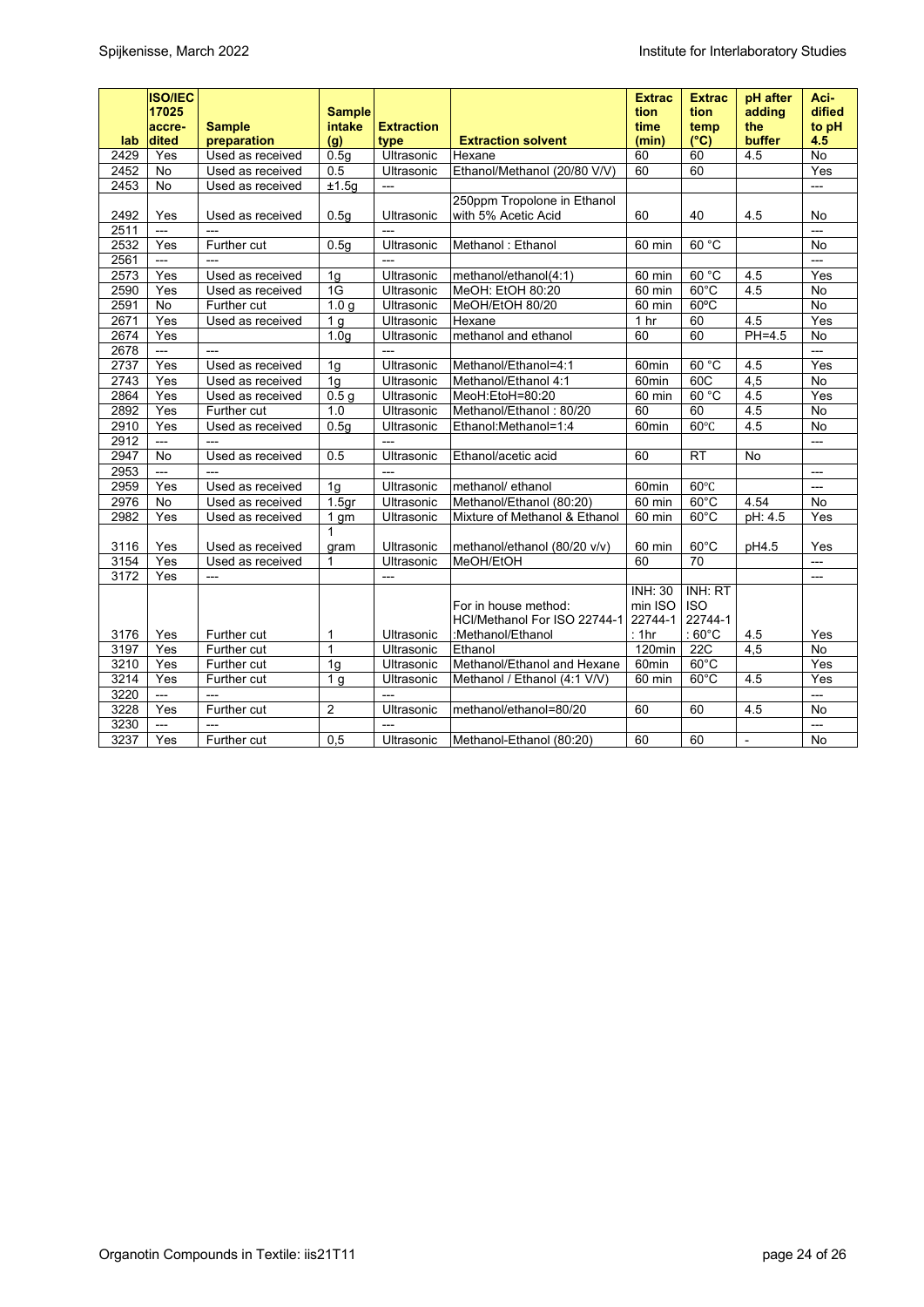|      | <b>ISO/IEC</b><br>17025<br>accre- | <b>Sample</b>            | <b>Sample</b><br>intake | <b>Extraction</b>        |                                                      | <b>Extrac</b><br>tion<br>time        | <b>Extrac</b><br>tion<br>temp    | pH after<br>adding<br>the | Aci-<br>dified<br>to pH |
|------|-----------------------------------|--------------------------|-------------------------|--------------------------|------------------------------------------------------|--------------------------------------|----------------------------------|---------------------------|-------------------------|
| lab  | dited                             | preparation              | (g)                     | type                     | <b>Extraction solvent</b>                            | (min)                                | $(^{\circ}C)$                    | buffer                    | 4.5                     |
| 2429 | Yes                               | Used as received         | 0.5q                    | Ultrasonic               | Hexane                                               | 60                                   | 60                               | 4.5                       | No                      |
| 2452 | No                                | Used as received         | 0.5                     | Ultrasonic               | Ethanol/Methanol (20/80 V/V)                         | 60                                   | 60                               |                           | Yes                     |
| 2453 | No                                | Used as received         | ±1.5g                   | $\overline{a}$           |                                                      |                                      |                                  |                           | $\overline{a}$          |
| 2492 | Yes                               | Used as received         | 0.5q                    | Ultrasonic               | 250ppm Tropolone in Ethanol<br>with 5% Acetic Acid   | 60                                   | 40                               | 4.5                       | No                      |
| 2511 | $---$                             | $\overline{a}$           |                         | $\overline{a}$           |                                                      |                                      |                                  |                           | $---$                   |
| 2532 | Yes                               | Further cut              | 0.5g                    | Ultrasonic               | Methanol: Ethanol                                    | 60 min                               | 60 °C                            |                           | No                      |
| 2561 | $\overline{a}$                    | $\overline{a}$           |                         | $\overline{\phantom{a}}$ |                                                      |                                      |                                  |                           |                         |
| 2573 | Yes                               | Used as received         | 1g                      | Ultrasonic               | methanol/ethanol(4:1)                                | 60 min                               | 60 °C                            | 4.5                       | Yes                     |
| 2590 | Yes                               | Used as received         | 1G                      | Ultrasonic               | MeOH: EtOH 80:20                                     | 60 min                               | $60^{\circ}$ C                   | 4.5                       | <b>No</b>               |
| 2591 | <b>No</b>                         | Further cut              | 1.0 <sub>q</sub>        | Ultrasonic               | MeOH/EtOH 80/20                                      | 60 min                               | $60^{\circ}$ C                   |                           | <b>No</b>               |
| 2671 | Yes                               | Used as received         | 1 <sub>g</sub>          | Ultrasonic               | Hexane                                               | 1 <sub>hr</sub>                      | 60                               | 4.5                       | Yes                     |
| 2674 | Yes                               |                          | 1.0 <sub>q</sub>        | Ultrasonic               | methanol and ethanol                                 | 60                                   | 60                               | $PH=4.5$                  | No                      |
| 2678 | $\overline{a}$                    | $\overline{a}$           |                         | $\overline{\phantom{a}}$ |                                                      |                                      |                                  |                           | $\overline{a}$          |
| 2737 | Yes                               | Used as received         | 1 <sub>g</sub>          | Ultrasonic               | Methanol/Ethanol=4:1                                 | 60 <sub>min</sub>                    | 60 °C                            | 4.5                       | Yes                     |
| 2743 | Yes                               | Used as received         | 1 <sub>g</sub>          | Ultrasonic               | Methanol/Ethanol 4:1                                 | 60 <sub>min</sub>                    | 60C                              | 4,5                       | No                      |
| 2864 | Yes                               | Used as received         | 0.5 <sub>q</sub>        | Ultrasonic               | MeoH:EtoH=80:20                                      | 60 min                               | 60 °C                            | 4.5                       | Yes                     |
| 2892 | Yes                               | Further cut              | 1.0                     | Ultrasonic               | Methanol/Ethanol: 80/20                              | 60                                   | 60                               | 4.5                       | No                      |
| 2910 | Yes                               | Used as received         | 0.5g                    | Ultrasonic               | Ethanol:Methanol=1:4                                 | 60min                                | $60^{\circ}$ C                   | 4.5                       | <b>No</b>               |
| 2912 | $---$                             | $\overline{\phantom{a}}$ |                         | $\overline{a}$           |                                                      |                                      |                                  |                           | $\overline{a}$          |
| 2947 | No                                | Used as received         | 0.5                     | Ultrasonic               | Ethanol/acetic acid                                  | 60                                   | <b>RT</b>                        | <b>No</b>                 |                         |
| 2953 | $\overline{a}$                    | $\overline{a}$           |                         |                          |                                                      |                                      |                                  |                           | $---$                   |
| 2959 | Yes                               | Used as received         | 1 <sub>q</sub>          | Ultrasonic               | methanol/ ethanol                                    | 60 <sub>min</sub>                    | $60^{\circ}$ C                   |                           | $---$                   |
| 2976 | No                                | Used as received         | 1.5 <sub>gr</sub>       | Ultrasonic               | Methanol/Ethanol (80:20)                             | 60 min                               | $60^{\circ}$ C                   | 4.54                      | No                      |
| 2982 | Yes                               | Used as received         | 1 gm                    | Ultrasonic               | Mixture of Methanol & Ethanol                        | 60 min                               | $60^{\circ}$ C                   | pH: 4.5                   | Yes                     |
|      |                                   |                          | 1                       |                          |                                                      |                                      |                                  |                           |                         |
| 3116 | Yes                               | Used as received         | gram                    | Ultrasonic               | methanol/ethanol (80/20 v/v)                         | 60 min                               | $60^{\circ}$ C                   | pH4.5                     | Yes                     |
| 3154 | Yes                               | Used as received         | $\mathbf{1}$            | Ultrasonic               | MeOH/EtOH                                            | 60                                   | 70                               |                           | $\overline{a}$          |
| 3172 | Yes                               | $\overline{a}$           |                         | $---$                    |                                                      |                                      |                                  |                           | $\overline{a}$          |
|      |                                   |                          |                         |                          | For in house method:<br>HCl/Methanol For ISO 22744-1 | <b>INH: 30</b><br>min ISO<br>22744-1 | INH: RT<br><b>ISO</b><br>22744-1 |                           |                         |
| 3176 | Yes                               | Further cut              | 1                       | Ultrasonic               | :Methanol/Ethanol                                    | : 1hr                                | : $60^{\circ}$ C                 | 4.5                       | Yes                     |
| 3197 | Yes                               | Further cut              | $\mathbf{1}$            | Ultrasonic               | Ethanol                                              | 120min                               | <b>22C</b>                       | 4,5                       | <b>No</b>               |
| 3210 | Yes                               | Further cut              | 1g                      | Ultrasonic               | Methanol/Ethanol and Hexane                          | 60 <sub>min</sub>                    | $60^{\circ}$ C                   |                           | Yes                     |
| 3214 | Yes                               | Further cut              | 1 <sub>q</sub>          | Ultrasonic               | Methanol / Ethanol (4:1 V/V)                         | 60 min                               | $60^{\circ}$ C                   | 4.5                       | Yes                     |
| 3220 | $\overline{\phantom{a}}$          | $\overline{a}$           |                         |                          |                                                      |                                      |                                  |                           | $\overline{a}$          |
| 3228 | Yes                               | Further cut              | $\overline{2}$          | Ultrasonic               | methanol/ethanol=80/20                               | 60                                   | 60                               | 4.5                       | <b>No</b>               |
| 3230 | $---$                             | $\overline{\phantom{a}}$ |                         | $\overline{a}$           |                                                      |                                      |                                  |                           | $\overline{a}$          |
| 3237 | Yes                               | Further cut              | 0,5                     | Ultrasonic               | Methanol-Ethanol (80:20)                             | 60                                   | 60                               | $\blacksquare$            | No                      |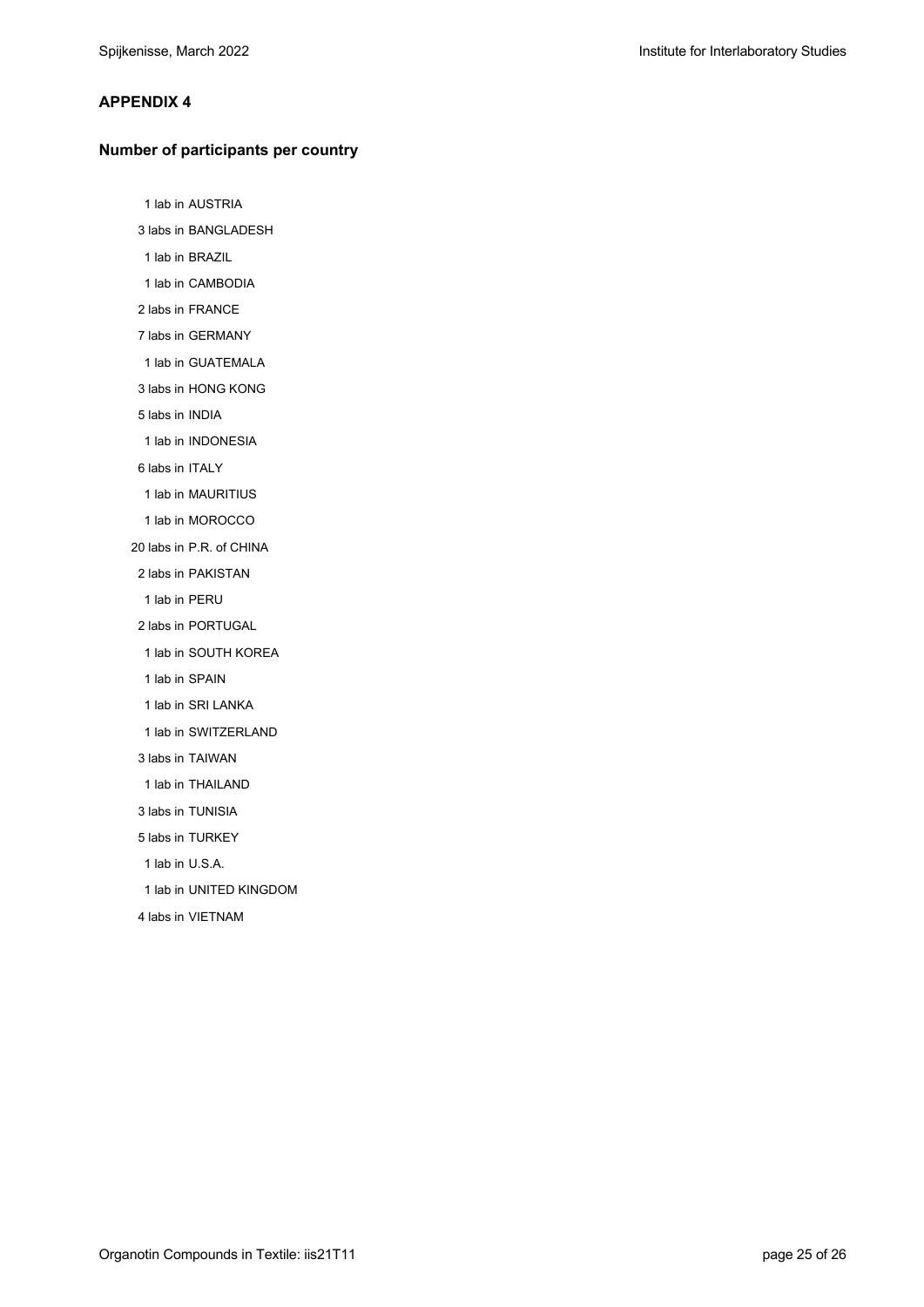#### **APPENDIX 4**

#### **Number of participants per country**

1 lab in AUSTRIA

3 labs in BANGLADESH

- 1 lab in BRAZIL
- 1 lab in CAMBODIA
- 2 labs in FRANCE
- 7 labs in GERMANY
- 1 lab in GUATEMALA
- 3 labs in HONG KONG
- 5 labs in INDIA
- 1 lab in INDONESIA
- 6 labs in ITALY
- 1 lab in MAURITIUS
- 1 lab in MOROCCO
- 20 labs in P.R. of CHINA
	- 2 labs in PAKISTAN
	- 1 lab in PERU
	- 2 labs in PORTUGAL
	- 1 lab in SOUTH KOREA
	- 1 lab in SPAIN
	- 1 lab in SRI LANKA
	- 1 lab in SWITZERLAND
	- 3 labs in TAIWAN
	- 1 lab in THAILAND
	- 3 labs in TUNISIA
	- 5 labs in TURKEY
	- 1 lab in U.S.A.
	- 1 lab in UNITED KINGDOM
	- 4 labs in VIETNAM